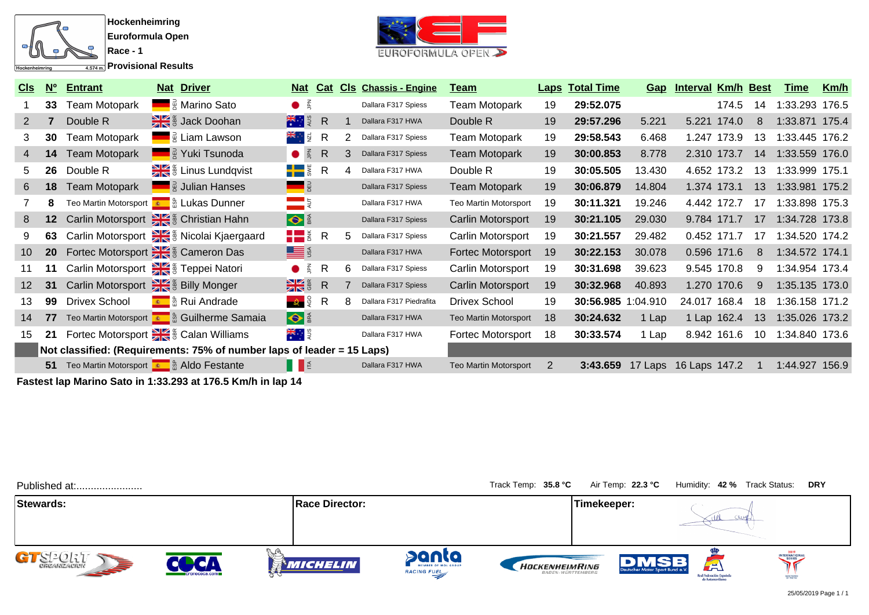

**Provisional Results**



| Cls             | N <sup>o</sup>  | <b>Entrant</b>       | <b>Nat Driver</b>                                                      | <u>Nat</u>                                                                                                                                                                                                                                                                                                          | Cat |   | <b>CIs Chassis - Engine</b> | Team                         |    | <b>Laps Total Time</b> | <u>Gap</u> | <b>Interval Km/h Best</b> |       |    | <b>Time</b>    | <u>Km/h</u> |
|-----------------|-----------------|----------------------|------------------------------------------------------------------------|---------------------------------------------------------------------------------------------------------------------------------------------------------------------------------------------------------------------------------------------------------------------------------------------------------------------|-----|---|-----------------------------|------------------------------|----|------------------------|------------|---------------------------|-------|----|----------------|-------------|
|                 | 33              | <b>Team Motopark</b> | <b>■ A</b> Marino Sato                                                 | $\bullet$ $\leq$                                                                                                                                                                                                                                                                                                    |     |   | Dallara F317 Spiess         | <b>Team Motopark</b>         | 19 | 29:52.075              |            |                           | 174.5 | 14 | 1:33.293 176.5 |             |
| 2               |                 | Double R             | Jack Doohan                                                            | <mark>. ∦</mark> i g≀ R                                                                                                                                                                                                                                                                                             |     |   | Dallara F317 HWA            | Double R                     | 19 | 29:57.296              | 5.221      | 5.221 174.0               |       | 8  | 1:33.871 175.4 |             |
| 3               | 30              | <b>Team Motopark</b> | <b>E</b> Liam Lawson                                                   | <del>≍</del> ∵l¤ R                                                                                                                                                                                                                                                                                                  |     | 2 | Dallara F317 Spiess         | <b>Team Motopark</b>         | 19 | 29:58.543              | 6.468      | 1.247 173.9               |       | 13 | 1:33.445 176.2 |             |
| 4               | 14              | <b>Team Motopark</b> | <b>Example 2 Yuki Tsunoda</b>                                          | $\bullet$ $\leq$                                                                                                                                                                                                                                                                                                    | R   |   | Dallara F317 Spiess         | <b>Team Motopark</b>         | 19 | 30:00.853              | 8.778      | 2.310 173.7               |       | 14 | 1:33.559 176.0 |             |
| 5               | 26              | Double R             | E & Linus Lundqvist                                                    | $\blacksquare$                                                                                                                                                                                                                                                                                                      | R   |   | Dallara F317 HWA            | Double R                     | 19 | 30:05.505              | 13.430     | 4.652 173.2               |       | 13 | 1:33.999 175.1 |             |
| 6               | 18              | <b>Team Motopark</b> | <b>E</b> a Julian Hanses                                               |                                                                                                                                                                                                                                                                                                                     |     |   | Dallara F317 Spiess         | <b>Team Motopark</b>         | 19 | 30:06.879              | 14.804     | 1.374 173.1               |       | 13 | 1:33.981 175.2 |             |
|                 |                 |                      | Teo Martin Motorsport <b>Com</b> & Lukas Dunner                        |                                                                                                                                                                                                                                                                                                                     |     |   | Dallara F317 HWA            | Teo Martin Motorsport        | 19 | 30:11.321              | 19.246     | 4.442 172.7               |       | 17 | 1:33.898 175.3 |             |
| 8               | 12              |                      | Carlin Motorsport State & Christian Hahn                               | $\bullet$                                                                                                                                                                                                                                                                                                           |     |   | Dallara F317 Spiess         | Carlin Motorsport            | 19 | 30:21.105              | 29.030     | 9.784 171.7               |       | 17 | 1:34.728 173.8 |             |
| 9               | 63              |                      | Carlin Motorsport Ste & Nicolai Kjaergaard                             | $\frac{1}{2}$ $\frac{1}{6}$ R                                                                                                                                                                                                                                                                                       |     |   | Dallara F317 Spiess         | Carlin Motorsport            | 19 | 30:21.557              | 29.482     | 0.452 171.7               |       | 17 | 1:34.520 174.2 |             |
| 10 <sup>°</sup> | 20 <sub>2</sub> |                      | Fortec Motorsport Ste & Cameron Das                                    | <b>LE</b> S                                                                                                                                                                                                                                                                                                         |     |   | Dallara F317 HWA            | Fortec Motorsport            | 19 | 30:22.153              | 30.078     | 0.596 171.6               |       | 8  | 1:34.572 174.1 |             |
| 11              | 11              |                      | Carlin Motorsport Steppei Natori                                       | $\bullet$ $\frac{2}{3}$                                                                                                                                                                                                                                                                                             | R   | 6 | Dallara F317 Spiess         | Carlin Motorsport            | 19 | 30:31.698              | 39.623     | 9.545 170.8               |       | 9  | 1:34.954 173.4 |             |
| 12 <sup>2</sup> | 31              |                      | Carlin Motorsport Ste & Billy Monger                                   | $\frac{1}{2}$ $\frac{1}{2}$ $\frac{1}{2}$ $\frac{1}{2}$ $\frac{1}{2}$ $\frac{1}{2}$ $\frac{1}{2}$ $\frac{1}{2}$ $\frac{1}{2}$ $\frac{1}{2}$ $\frac{1}{2}$ $\frac{1}{2}$ $\frac{1}{2}$ $\frac{1}{2}$ $\frac{1}{2}$ $\frac{1}{2}$ $\frac{1}{2}$ $\frac{1}{2}$ $\frac{1}{2}$ $\frac{1}{2}$ $\frac{1}{2}$ $\frac{1}{2}$ |     |   | Dallara F317 Spiess         | Carlin Motorsport            | 19 | 30:32.968              | 40.893     | 1.270 170.6               |       | 9  | 1:35.135 173.0 |             |
| 13              | 99              | <b>Drivex School</b> | E & Rui Andrade                                                        | <b>2</b> 8                                                                                                                                                                                                                                                                                                          | -R  | 8 | Dallara F317 Piedrafita     | Drivex School                | 19 | 30:56.985 1:04.910     |            | 24.017 168.4              |       | 18 | 1:36.158 171.2 |             |
| 14              | 77              |                      | Teo Martin Motorsport <b>Com</b> & Guilherme Samaia                    | $\bullet$                                                                                                                                                                                                                                                                                                           |     |   | Dallara F317 HWA            | <b>Teo Martin Motorsport</b> | 18 | 30:24.632              | 1 Lap      | 1 Lap 162.4               |       | 13 | 1:35.026 173.2 |             |
| 15              | 21              |                      | Fortec Motorsport State & Calan Williams                               | <del>भ</del> ्≍ा इ                                                                                                                                                                                                                                                                                                  |     |   | Dallara F317 HWA            | Fortec Motorsport            | 18 | 30:33.574              | 1 Lap      | 8.942 161.6               |       | 10 | 1:34.840 173.6 |             |
|                 |                 |                      | Not classified: (Requirements: 75% of number laps of leader = 15 Laps) |                                                                                                                                                                                                                                                                                                                     |     |   |                             |                              |    |                        |            |                           |       |    |                |             |
|                 |                 |                      | 51 Teo Martin Motorsport <b>Com</b> & Aldo Festante                    | HE                                                                                                                                                                                                                                                                                                                  |     |   | Dallara F317 HWA            | <b>Teo Martin Motorsport</b> | -2 | 3:43.659               |            | 17 Laps 16 Laps 147.2     |       |    | 1:44.927 156.9 |             |

**Fastest lap Marino Sato in 1:33.293 at 176.5 Km/h in lap 14**

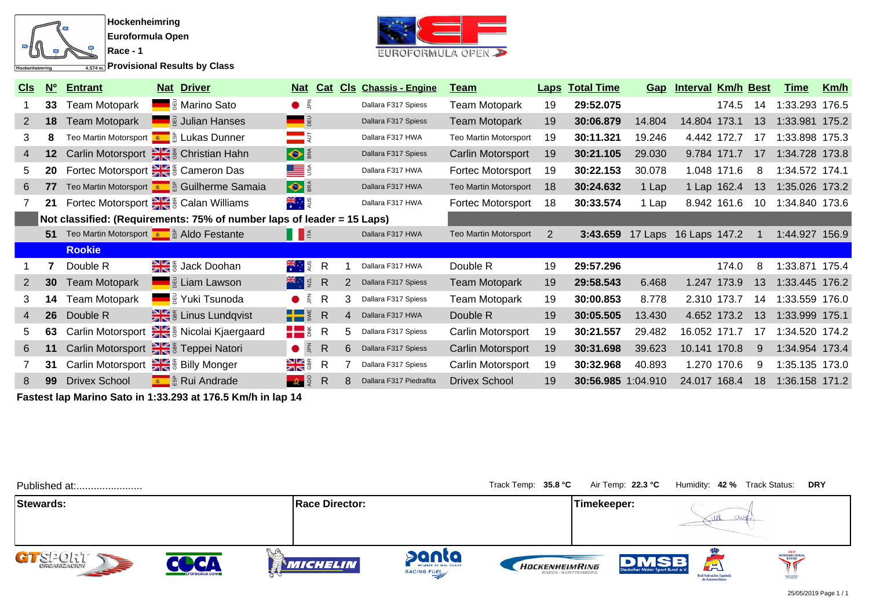

**Provisional Results by Class**



| <u>CIs</u>   | N <sup>o</sup> | <b>Entrant</b>       | <b>Nat Driver</b>                                                      | <u>Nat</u>                    | Cat          |    | <b>CIs Chassis - Engine</b> | <u>Team</u>           |    | <b>Laps Total Time</b> |        | Gap Interval Km/h Best |             |    | <u>Time</u>    | <u>Km/h</u> |
|--------------|----------------|----------------------|------------------------------------------------------------------------|-------------------------------|--------------|----|-----------------------------|-----------------------|----|------------------------|--------|------------------------|-------------|----|----------------|-------------|
|              | 33             | Team Motopark        | <b>Example 3</b> Marino Sato                                           | $\bullet$ $\frac{2}{3}$       |              |    | Dallara F317 Spiess         | <b>Team Motopark</b>  | 19 | 29:52.075              |        |                        | 174.5       | 14 | 1:33.293       | 176.5       |
| $\mathbf{2}$ | 18             | <b>Team Motopark</b> | <b>E</b> a Julian Hanses                                               |                               |              |    | Dallara F317 Spiess         | <b>Team Motopark</b>  | 19 | 30:06.879              | 14.804 | 14.804 173.1           |             | 13 | 1:33.981 175.2 |             |
| 3.           | 8              |                      | Teo Martin Motorsport <b>Com</b> & Lukas Dunner                        | $=$ 5                         |              |    | Dallara F317 HWA            | Teo Martin Motorsport | 19 | 30:11.321              | 19.246 | 4.442 172.7            |             | 17 | 1:33.898       | 175.3       |
| 4            | 12             |                      | Carlin Motorsport : Execution Hahn                                     | $\bullet$                     |              |    | Dallara F317 Spiess         | Carlin Motorsport     | 19 | 30:21.105              | 29.030 |                        | 9.784 171.7 | 17 | 1:34.728 173.8 |             |
| 5.           | 20             |                      | Fortec Motorsport Stee & Cameron Das                                   | <u>LE</u> §                   |              |    | Dallara F317 HWA            | Fortec Motorsport     | 19 | 30:22.153              | 30.078 |                        | 1.048 171.6 | -8 | 1:34.572 174.1 |             |
| 6            | 77             |                      | Teo Martin Motorsport <b>Com</b> & Guilherme Samaia                    | $\bullet$                     |              |    | Dallara F317 HWA            | Teo Martin Motorsport | 18 | 30:24.632              | 1 Lap  |                        | 1 Lap 162.4 | 13 | 1:35.026 173.2 |             |
|              | 21             |                      | Fortec Motorsport State & Calan Williams                               | <del>भ</del> ्र∺ाइ            |              |    | Dallara F317 HWA            | Fortec Motorsport     | 18 | 30:33.574              | 1 Lap  | 8.942 161.6            |             | 10 | 1:34.840 173.6 |             |
|              |                |                      | Not classified: (Requirements: 75% of number laps of leader = 15 Laps) |                               |              |    |                             |                       |    |                        |        |                        |             |    |                |             |
|              | 51             |                      | Teo Martin Motorsport <b>Com</b> & Aldo Festante                       | $\blacksquare$                |              |    | Dallara F317 HWA            | Teo Martin Motorsport | 2  | 3:43.659               |        | 17 Laps 16 Laps 147.2  |             |    | 1:44.927 156.9 |             |
|              |                | <b>Rookie</b>        |                                                                        |                               |              |    |                             |                       |    |                        |        |                        |             |    |                |             |
|              |                | Double R             | ₩€ <sub>®</sub> Jack Doohan                                            | <del>≭</del> ∵ ३              | $\mathsf{R}$ |    | Dallara F317 HWA            | Double R              | 19 | 29:57.296              |        |                        | 174.0       | 8  | 1:33.871 175.4 |             |
| 2            | 30             | <b>Team Motopark</b> | <b>Example 1</b> $\frac{1}{2}$ Liam Lawson                             | <del>⊁</del> ਵਾਸਕ             | R            | 2  | Dallara F317 Spiess         | <b>Team Motopark</b>  | 19 | 29:58.543              | 6.468  |                        | 1.247 173.9 | 13 | 1:33.445 176.2 |             |
| 3.           | 14             | Team Motopark        | <b>Example 2 Yuki Tsunoda</b>                                          | $\bullet$ $\leq$              | R            | 3  | Dallara F317 Spiess         | <b>Team Motopark</b>  | 19 | 30:00.853              | 8.778  | 2.310 173.7            |             | 14 | 1:33.559       | 176.0       |
| 4            | 26             | Double R             | a Einus Lundqvist                                                      | $\frac{1}{2}$ $\frac{1}{2}$ R |              | 4  | Dallara F317 HWA            | Double R              | 19 | 30:05.505              | 13.430 |                        | 4.652 173.2 | 13 | 1:33.999 175.1 |             |
| 5.           | 63             | Carlin Motorsport    | Size is Nicolai Kjaergaard                                             | HH ž                          | $\mathsf{R}$ | 5. | Dallara F317 Spiess         | Carlin Motorsport     | 19 | 30:21.557              | 29.482 | 16.052 171.7           |             | 17 | 1:34.520 174.2 |             |
| 6            | 11             | Carlin Motorsport    | Feppei Natori                                                          | $\bullet$ $\leq$              | R            | 6. | Dallara F317 Spiess         | Carlin Motorsport     | 19 | 30:31.698              | 39.623 | 10.141 170.8           |             | 9  | 1:34.954 173.4 |             |
|              | 31             | Carlin Motorsport    | Billy Monger                                                           | $\frac{1}{\sqrt{2}}$          | $\mathsf{R}$ |    | Dallara F317 Spiess         | Carlin Motorsport     | 19 | 30:32.968              | 40.893 |                        | 1.270 170.6 | -9 | 1:35.135 173.0 |             |
| 8            | 99             | <b>Drivex School</b> | <b>Review</b> & Rui Andrade                                            |                               | R            |    | Dallara F317 Piedrafita     | <b>Drivex School</b>  | 19 | 30:56.985 1:04.910     |        | 24.017 168.4           |             | 18 | 1:36.158 171.2 |             |

**Fastest lap Marino Sato in 1:33.293 at 176.5 Km/h in lap 14**

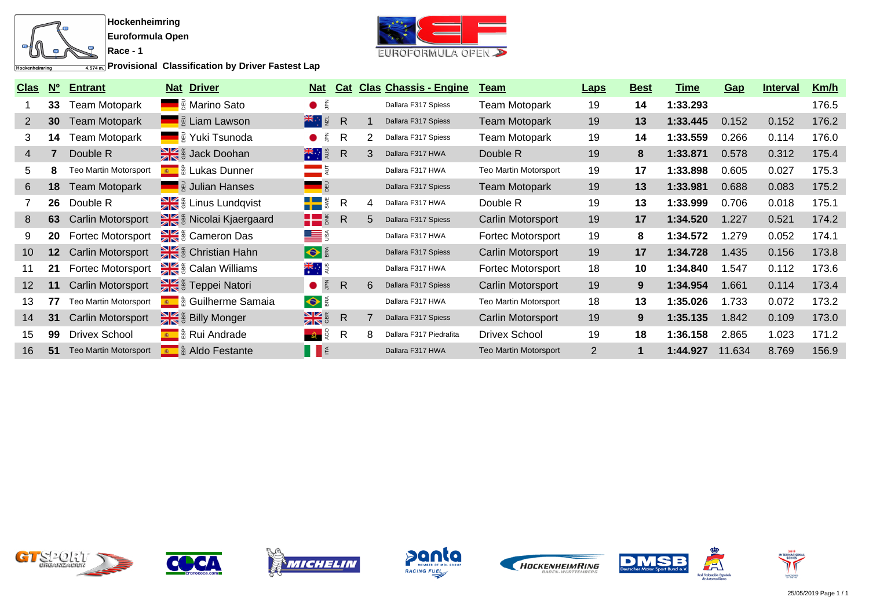

**Provisional Classification by Driver Fastest Lap** 



| <b>Clas</b>    | $\overline{\mathsf{N}_{0}}$ | <b>Entrant</b>               | <b>Driver</b><br><u>Nat</u>         | <u>Nat</u>                                                                 | Cat            |   | <b>Clas Chassis - Engine</b> | <u>Team</u>                  | <u>Laps</u>    | <b>Best</b> | <u>Time</u> | Gap    | <b>Interval</b> | Km/h  |
|----------------|-----------------------------|------------------------------|-------------------------------------|----------------------------------------------------------------------------|----------------|---|------------------------------|------------------------------|----------------|-------------|-------------|--------|-----------------|-------|
|                | 33                          | Team Motopark                | R Marino Sato                       | $\bullet$ $\frac{2}{3}$                                                    |                |   | Dallara F317 Spiess          | <b>Team Motopark</b>         | 19             | 14          | 1:33.293    |        |                 | 176.5 |
| $\overline{2}$ | 30                          | Team Motopark                | <b>E</b> Eiam Lawson                | <del>⊁€</del> ਼ਾ ਕੁ                                                        | $\overline{R}$ |   | Dallara F317 Spiess          | <b>Team Motopark</b>         | 19             | 13          | 1:33.445    | 0.152  | 0.152           | 176.2 |
| 3              | 14                          | Team Motopark                | <b>R</b> Yuki Tsunoda               | $\bullet$ $\frac{2}{3}$                                                    | R              |   | Dallara F317 Spiess          | Team Motopark                | 19             | 14          | 1:33.559    | 0.266  | 0.114           | 176.0 |
| $\overline{4}$ |                             | Double R                     | ack Doohan                          | <del>≫</del>                                                               | R.             | 3 | Dallara F317 HWA             | Double R                     | 19             | 8           | 1:33.871    | 0.578  | 0.312           | 175.4 |
| 5.             |                             | <b>Teo Martin Motorsport</b> | E a Lukas Dunner                    | $=$ 5                                                                      |                |   | Dallara F317 HWA             | <b>Teo Martin Motorsport</b> | 19             | 17          | 1:33.898    | 0.605  | 0.027           | 175.3 |
| 6              | 18                          | <b>Team Motopark</b>         | <b>E</b> a Julian Hanses            | <b>SED</b>                                                                 |                |   | Dallara F317 Spiess          | <b>Team Motopark</b>         | 19             | 13          | 1:33.981    | 0.688  | 0.083           | 175.2 |
|                | 26                          | Double R                     | Linus Lundqvist                     | $\blacksquare$                                                             | R              | 4 | Dallara F317 HWA             | Double R                     | 19             | 13          | 1:33.999    | 0.706  | 0.018           | 175.1 |
| 8              | 63                          | <b>Carlin Motorsport</b>     | Se is Nicolai Kjaergaard            | $\blacksquare$                                                             | R              | 5 | Dallara F317 Spiess          | Carlin Motorsport            | 19             | 17          | 1:34.520    | 1.227  | 0.521           | 174.2 |
| 9              | 20                          | Fortec Motorsport            | E & Cameron Das                     | <u>LE</u> S                                                                |                |   | Dallara F317 HWA             | Fortec Motorsport            | 19             | 8           | 1:34.572    | 1.279  | 0.052           | 174.1 |
| 10             | 12 <sup>°</sup>             | Carlin Motorsport            | & Execution Hahn                    | $\bullet$                                                                  |                |   | Dallara F317 Spiess          | Carlin Motorsport            | 19             | 17          | 1:34.728    | 1.435  | 0.156           | 173.8 |
| 11             | 21                          | Fortec Motorsport            | E & Calan Williams                  | <del>≭</del> ंई                                                            |                |   | Dallara F317 HWA             | Fortec Motorsport            | 18             | 10          | 1:34.840    | 1.547  | 0.112           | 173.6 |
| 12             | 11                          | Carlin Motorsport            | E & Teppei Natori                   | $\bullet$ $\frac{2}{3}$                                                    | $\mathsf{R}$   | 6 | Dallara F317 Spiess          | Carlin Motorsport            | 19             | 9           | 1:34.954    | 1.661  | 0.114           | 173.4 |
| 13             | 77                          | Teo Martin Motorsport        | E ∴ <mark>A</mark> Guilherme Samaia | $\bullet$                                                                  |                |   | Dallara F317 HWA             | Teo Martin Motorsport        | 18             | 13          | 1:35.026    | 1.733  | 0.072           | 173.2 |
| 14             | 31                          | Carlin Motorsport            | • Billy Monger                      | $\frac{N}{N}$                                                              | R              |   | Dallara F317 Spiess          | Carlin Motorsport            | 19             | 9           | 1:35.135    | 1.842  | 0.109           | 173.0 |
| 15             | 99                          | <b>Drivex School</b>         | E a a Rui Andrade                   | ಿತಿ−ಶ್                                                                     | R              | 8 | Dallara F317 Piedrafita      | Drivex School                | 19             | 18          | 1:36.158    | 2.865  | 1.023           | 171.2 |
| 16             | 51                          | Teo Martin Motorsport        | E & Aldo Festante                   | $\begin{array}{ c c c c c }\hline \quad \  & \quad \  & \quad \end{array}$ |                |   | Dallara F317 HWA             | <b>Teo Martin Motorsport</b> | $\overline{2}$ |             | 1:44.927    | 11.634 | 8.769           | 156.9 |













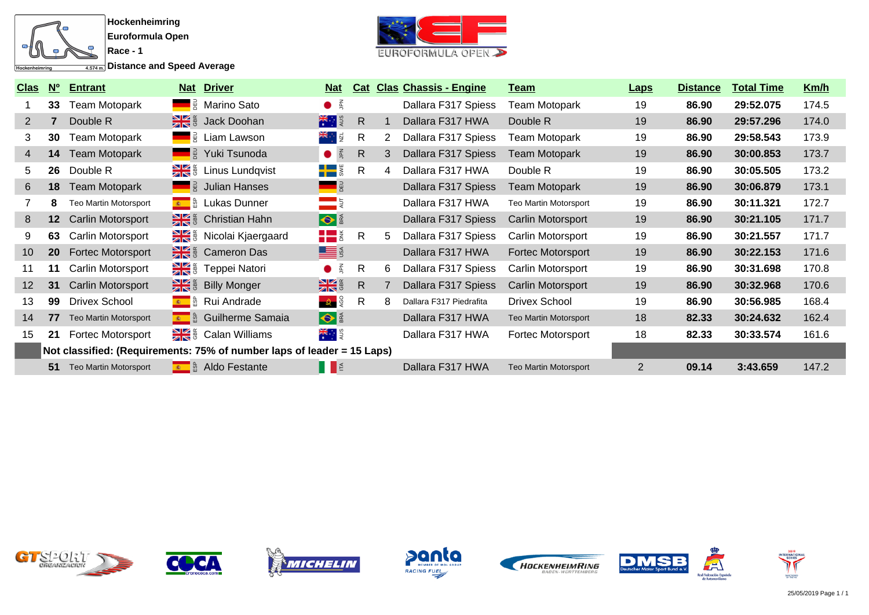

**<u>A.574m.</u>** Distance and Speed Average



| <u>Clas</u>     | $\underline{\mathbf{N}}$ <sup>o</sup> | <b>Entrant</b>               |    | <b>Nat Driver</b>                                                      | <u>Nat</u>                                              | <u>Cat</u>   |   | <b>Clas Chassis - Engine</b> | <u>Team</u>                  | <b>Laps</b>    | <b>Distance</b> | <b>Total Time</b> | Km/h  |
|-----------------|---------------------------------------|------------------------------|----|------------------------------------------------------------------------|---------------------------------------------------------|--------------|---|------------------------------|------------------------------|----------------|-----------------|-------------------|-------|
|                 | 33                                    | Team Motopark                |    | ■ a Marino Sato                                                        | $\bullet$ $\frac{2}{3}$                                 |              |   | Dallara F317 Spiess          | <b>Team Motopark</b>         | 19             | 86.90           | 29:52.075         | 174.5 |
| 2               |                                       | Double R                     |    | <b>Example 3</b> Jack Doohan                                           | 大门                                                      | $\mathsf{R}$ |   | Dallara F317 HWA             | Double R                     | 19             | 86.90           | 29:57.296         | 174.0 |
| 3               | 30                                    | Team Motopark                |    | <b>E</b> Liam Lawson                                                   | ¥ं ⊵                                                    | R            | 2 | Dallara F317 Spiess          | Team Motopark                | 19             | 86.90           | 29:58.543         | 173.9 |
| 4               | 14                                    | Team Motopark                |    | <b>Example 3</b> Yuki Tsunoda                                          | $\vec{E}$                                               | $\mathsf{R}$ | 3 | Dallara F317 Spiess          | <b>Team Motopark</b>         | 19             | 86.90           | 30:00.853         | 173.7 |
| 5               | 26                                    | Double R                     | ▓▓ | Linus Lundqvist                                                        | $\blacksquare$                                          | R            | 4 | Dallara F317 HWA             | Double R                     | 19             | 86.90           | 30:05.505         | 173.2 |
| $6^{\circ}$     | 18                                    | <b>Team Motopark</b>         |    | <b>Example 3</b> Julian Hanses                                         | <b>SED</b>                                              |              |   | Dallara F317 Spiess          | <b>Team Motopark</b>         | 19             | 86.90           | 30:06.879         | 173.1 |
|                 | 8                                     | Teo Martin Motorsport        |    | <b>Revenue 1</b> & Lukas Dunner                                        |                                                         |              |   | Dallara F317 HWA             | Teo Martin Motorsport        | 19             | 86.90           | 30:11.321         | 172.7 |
| 8               | 12 <sup>°</sup>                       | Carlin Motorsport            |    | Christian Hahn                                                         | $\bullet$                                               |              |   | Dallara F317 Spiess          | Carlin Motorsport            | 19             | 86.90           | 30:21.105         | 171.7 |
| 9               | 63                                    | Carlin Motorsport            |    | Signal Kjaergaard                                                      | $\blacksquare$                                          | R            | 5 | Dallara F317 Spiess          | Carlin Motorsport            | 19             | 86.90           | 30:21.557         | 171.7 |
| 10 <sup>°</sup> | <b>20</b>                             | <b>Fortec Motorsport</b>     |    | <b>Example 3</b> Cameron Das                                           | <b>LE</b> S                                             |              |   | Dallara F317 HWA             | <b>Fortec Motorsport</b>     | 19             | 86.90           | 30:22.153         | 171.6 |
| 11              | 11                                    | Carlin Motorsport            |    | Feppei Natori                                                          | $\bullet$ $\frac{2}{3}$                                 | $\mathsf{R}$ | 6 | Dallara F317 Spiess          | Carlin Motorsport            | 19             | 86.90           | 30:31.698         | 170.8 |
| 12              | 31                                    | <b>Carlin Motorsport</b>     |    | <b>Billy Monger</b>                                                    | $\frac{1}{2}$ $\frac{1}{2}$ $\frac{1}{2}$ $\frac{1}{2}$ | $\mathsf{R}$ |   | Dallara F317 Spiess          | <b>Carlin Motorsport</b>     | 19             | 86.90           | 30:32.968         | 170.6 |
| 13              | 99                                    | <b>Drivex School</b>         |    | Le & Rui Andrade                                                       | $\frac{1}{2}$                                           | R            | 8 | Dallara F317 Piedrafita      | <b>Drivex School</b>         | 19             | 86.90           | 30:56.985         | 168.4 |
| 14              | 77                                    | <b>Teo Martin Motorsport</b> |    | <b>E</b> & Guilherme Samaia                                            | $\bullet$                                               |              |   | Dallara F317 HWA             | <b>Teo Martin Motorsport</b> | 18             | 82.33           | 30:24.632         | 162.4 |
| 15              | 21                                    | Fortec Motorsport            |    | Se & Calan Williams                                                    | <del>¥</del> ाइ                                         |              |   | Dallara F317 HWA             | <b>Fortec Motorsport</b>     | 18             | 82.33           | 30:33.574         | 161.6 |
|                 |                                       |                              |    | Not classified: (Requirements: 75% of number laps of leader = 15 Laps) |                                                         |              |   |                              |                              |                |                 |                   |       |
|                 | 51                                    | <b>Teo Martin Motorsport</b> |    | Le & Aldo Festante                                                     | IE                                                      |              |   | Dallara F317 HWA             | <b>Teo Martin Motorsport</b> | $\overline{2}$ | 09.14           | 3:43.659          | 147.2 |













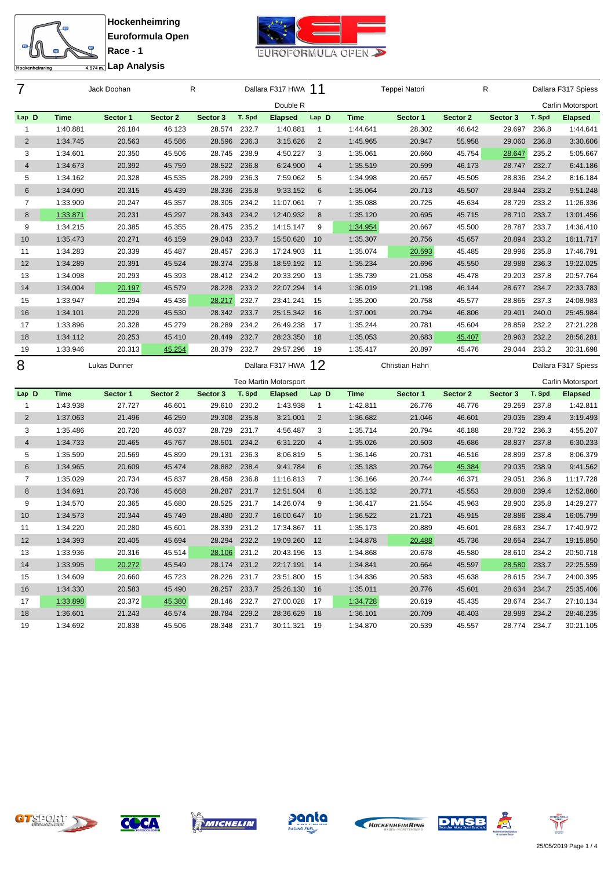



**Race - 1 Lap Analysis**

| 7                       |                      | Jack Doohan        |                    | R                  |                 | Dallara F317 HWA 11          |                       |                         | Teppei Natori      |                    | R                      |                 | Dallara F317 Spiess        |
|-------------------------|----------------------|--------------------|--------------------|--------------------|-----------------|------------------------------|-----------------------|-------------------------|--------------------|--------------------|------------------------|-----------------|----------------------------|
|                         |                      |                    |                    |                    |                 | Double R                     |                       |                         |                    |                    |                        |                 | Carlin Motorsport          |
| Lap D                   | Time                 | Sector 1           | Sector 2           | Sector 3           | T. Spd          | <b>Elapsed</b>               | Lap D                 | <b>Time</b>             | Sector 1           | Sector 2           | Sector 3               | T. Spd          | <b>Elapsed</b>             |
| $\mathbf{1}$            | 1:40.881             | 26.184             | 46.123             | 28.574             | 232.7           | 1:40.881                     | $\mathbf{1}$          | 1:44.641                | 28.302             | 46.642             | 29.697                 | 236.8           | 1:44.641                   |
| $\overline{2}$          | 1:34.745             | 20.563             | 45.586             | 28.596             | 236.3           | 3:15.626                     | $\overline{2}$        | 1:45.965                | 20.947             | 55.958             | 29.060                 | 236.8           | 3:30.606                   |
| 3                       | 1:34.601             | 20.350             | 45.506             | 28.745             | 238.9           | 4:50.227                     | 3                     | 1:35.061                | 20.660             | 45.754             | 28.647                 | 235.2           | 5:05.667                   |
| $\overline{4}$          | 1:34.673             | 20.392             | 45.759             | 28.522             | 236.8           | 6:24.900                     | $\overline{4}$        | 1:35.519                | 20.599             | 46.173             | 28.747 232.7           |                 | 6:41.186                   |
| 5                       | 1:34.162             | 20.328             | 45.535             | 28.299             | 236.3           | 7:59.062                     | 5                     | 1:34.998                | 20.657             | 45.505             | 28.836                 | 234.2           | 8:16.184                   |
| 6                       | 1:34.090             | 20.315             | 45.439             | 28.336             | 235.8           | 9:33.152                     | 6                     | 1:35.064                | 20.713             | 45.507             | 28.844                 | 233.2           | 9:51.248                   |
| $\overline{7}$          | 1:33.909             | 20.247             | 45.357             | 28.305             | 234.2           | 11:07.061                    | $\overline{7}$        | 1:35.088                | 20.725             | 45.634             | 28.729                 | 233.2           | 11:26.336                  |
| 8                       | 1:33.871             | 20.231             | 45.297             | 28.343             | 234.2           | 12:40.932                    | 8                     | 1:35.120                | 20.695             | 45.715             | 28.710                 | 233.7           | 13:01.456                  |
| 9                       | 1:34.215             | 20.385             | 45.355             | 28.475             | 235.2           | 14:15.147                    | 9                     | 1:34.954                | 20.667             | 45.500             | 28.787                 | 233.7           | 14:36.410                  |
| 10                      | 1:35.473             | 20.271             | 46.159             | 29.043             | 233.7           | 15:50.620                    | 10                    | 1:35.307                | 20.756             | 45.657             | 28.894                 | 233.2           | 16:11.717                  |
| 11                      | 1:34.283             | 20.339             | 45.487             | 28.457             | 236.3           | 17:24.903                    | 11                    | 1:35.074                | 20.593             | 45.485             | 28.996                 | 235.8           | 17:46.791                  |
| 12                      | 1:34.289             | 20.391             | 45.524             | 28.374             | 235.8           | 18:59.192                    | 12                    | 1:35.234                | 20.696             | 45.550             | 28.988                 | 236.3           | 19:22.025                  |
| 13                      | 1:34.098             | 20.293             | 45.393             | 28.412             | 234.2           | 20:33.290                    | 13                    | 1:35.739                | 21.058             | 45.478             | 29.203                 | 237.8           | 20:57.764                  |
| 14                      | 1:34.004             | 20.197             | 45.579             | 28.228             | 233.2           | 22:07.294                    | 14                    | 1:36.019                | 21.198             | 46.144             | 28.677                 | 234.7           | 22:33.783                  |
| 15                      | 1:33.947             | 20.294             | 45.436             | 28.217             | 232.7           | 23:41.241                    | 15                    | 1:35.200                | 20.758             | 45.577             | 28.865                 | 237.3           | 24:08.983                  |
| 16                      | 1:34.101             | 20.229             | 45.530             | 28.342             | 233.7           | 25:15.342                    | 16                    | 1:37.001                | 20.794             | 46.806             | 29.401                 | 240.0           | 25:45.984                  |
| 17                      | 1:33.896             | 20.328             | 45.279             | 28.289             | 234.2           | 26:49.238                    | 17                    | 1:35.244                | 20.781             | 45.604             | 28.859                 | 232.2           | 27:21.228                  |
| 18                      | 1:34.112             | 20.253             | 45.410             | 28.449             | 232.7           | 28:23.350                    | 18                    | 1:35.053                | 20.683             | 45.407             | 28.963                 | 232.2           | 28:56.281                  |
| 19                      | 1:33.946             | 20.313             | 45.254             | 28.379             | 232.7           | 29:57.296                    | 19                    | 1:35.417                | 20.897             | 45.476             | 29.044                 | 233.2           | 30:31.698                  |
|                         |                      |                    |                    |                    |                 |                              |                       |                         |                    |                    |                        |                 |                            |
|                         |                      | Lukas Dunner       |                    |                    |                 | Dallara F317 HWA             |                       |                         | Christian Hahn     |                    |                        |                 | Dallara F317 Spiess        |
| 8                       |                      |                    |                    |                    |                 |                              | 12                    |                         |                    |                    |                        |                 |                            |
|                         |                      |                    |                    |                    |                 | <b>Teo Martin Motorsport</b> |                       |                         |                    |                    |                        |                 | Carlin Motorsport          |
| Lap D<br>$\mathbf{1}$   | Time<br>1:43.938     | Sector 1<br>27.727 | Sector 2<br>46.601 | Sector 3<br>29.610 | T. Spd<br>230.2 | <b>Elapsed</b>               | Lap D<br>$\mathbf{1}$ | <b>Time</b><br>1:42.811 | Sector 1<br>26.776 | Sector 2<br>46.776 | Sector 3<br>29.259     | T. Spd<br>237.8 | <b>Elapsed</b><br>1:42.811 |
|                         |                      | 21.496             |                    | 29.308             | 235.8           | 1:43.938                     | $\overline{2}$        | 1:36.682                | 21.046             | 46.601             | 29.035                 | 239.4           | 3:19.493                   |
| $\overline{\mathbf{c}}$ | 1:37.063             |                    | 46.259             |                    |                 | 3:21.001                     |                       |                         |                    |                    |                        |                 |                            |
| 3<br>$\overline{4}$     | 1:35.486             | 20.720             | 46.037             | 28.729             | 231.7<br>234.2  | 4:56.487                     | 3<br>$\overline{4}$   | 1:35.714                | 20.794             | 46.188<br>45.686   | 28.732                 | 236.3<br>237.8  | 4:55.207                   |
|                         | 1:34.733             | 20.465             | 45.767             | 28.501             |                 | 6:31.220                     |                       | 1:35.026                | 20.503             |                    | 28.837                 |                 | 6:30.233                   |
| 5<br>$\,6$              | 1:35.599             | 20.569             | 45.899             | 29.131<br>28.882   | 236.3<br>238.4  | 8:06.819                     | 5<br>$\,6$            | 1:36.146                | 20.731             | 46.516             | 28.899<br>29.035       | 237.8<br>238.9  | 8:06.379                   |
| 7                       | 1:34.965<br>1:35.029 | 20.609<br>20.734   | 45.474<br>45.837   | 28.458             | 236.8           | 9:41.784<br>11:16.813        | $\overline{7}$        | 1:35.183<br>1:36.166    | 20.764<br>20.744   | 45.384<br>46.371   | 29.051                 | 236.8           | 9:41.562<br>11:17.728      |
| 8                       |                      |                    |                    | 28.287             | 231.7           |                              | 8                     |                         |                    |                    | 28.808                 | 239.4           |                            |
| 9                       | 1:34.691<br>1:34.570 | 20.736             | 45.668<br>45.680   | 28.525             | 231.7           | 12:51.504<br>14:26.074       | 9                     | 1:35.132<br>1:36.417    | 20.771<br>21.554   | 45.553<br>45.963   | 28.900                 | 235.8           | 12:52.860<br>14:29.277     |
| 10                      |                      | 20.365             |                    | 28.480             | 230.7           |                              | 10                    |                         |                    |                    | 28.886                 | 238.4           |                            |
| 11                      | 1:34.573<br>1:34.220 | 20.344<br>20.280   | 45.749<br>45.601   | 28.339             | 231.2           | 16:00.647<br>17:34.867       | 11                    | 1:36.522<br>1:35.173    | 21.721<br>20.889   | 45.915<br>45.601   | 28.683                 | 234.7           | 16:05.799<br>17:40.972     |
| 12                      |                      | 20.405             | 45.694             | 28.294             | 232.2           | 19:09.260                    | 12                    |                         | 20.488             |                    | 28.654                 | 234.7           | 19:15.850                  |
| 13                      | 1:34.393<br>1:33.936 | 20.316             | 45.514             | 28.106 231.2       |                 |                              |                       | 1:34.878<br>1:34.868    | 20.678             | 45.736<br>45.580   |                        |                 |                            |
| 14                      | 1:33.995             | 20.272             | 45.549             | 28.174             | 231.2           | 20:43.196 13<br>22:17.191 14 |                       | 1:34.841                | 20.664             | 45.597             | 28.610 234.2<br>28.580 | 233.7           | 20:50.718<br>22:25.559     |
| 15                      | 1:34.609             | 20.660             | 45.723             | 28.226 231.7       |                 | 23:51.800 15                 |                       | 1:34.836                | 20.583             | 45.638             | 28.615 234.7           |                 | 24:00.395                  |
| 16                      | 1:34.330             | 20.583             | 45.490             | 28.257 233.7       |                 | 25:26.130 16                 |                       | 1:35.011                | 20.776             | 45.601             | 28.634                 | 234.7           | 25:35.406                  |
| 17                      | 1:33.898             | 20.372             | 45.380             | 28.146             | 232.7           | 27:00.028 17                 |                       | 1:34.728                | 20.619             | 45.435             | 28.674                 | 234.7           | 27:10.134                  |
| 18                      | 1:36.601             | 21.243             | 46.574             | 28.784             | 229.2           | 28:36.629                    | 18                    | 1:36.101                | 20.709             | 46.403             | 28.989                 | 234.2           | 28:46.235                  |











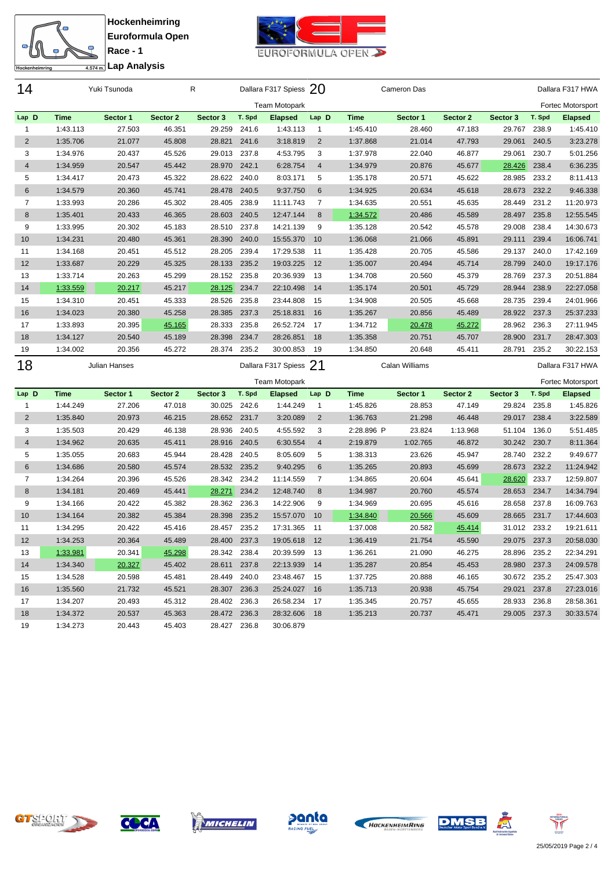



**Race - 1 Lap Analysis**

| 14             |             | Yuki Tsunoda  |          | R            |        | Dallara F317 Spiess 20 |                |             | Cameron Das    |          |              |        | Dallara F317 HWA  |
|----------------|-------------|---------------|----------|--------------|--------|------------------------|----------------|-------------|----------------|----------|--------------|--------|-------------------|
|                |             |               |          |              |        | <b>Team Motopark</b>   |                |             |                |          |              |        | Fortec Motorsport |
| Lap D          | <b>Time</b> | Sector 1      | Sector 2 | Sector 3     | T. Spd | <b>Elapsed</b>         | Lap D          | <b>Time</b> | Sector 1       | Sector 2 | Sector 3     | T. Spd | <b>Elapsed</b>    |
| 1              | 1:43.113    | 27.503        | 46.351   | 29.259       | 241.6  | 1:43.113               | $\mathbf{1}$   | 1:45.410    | 28.460         | 47.183   | 29.767       | 238.9  | 1:45.410          |
| 2              | 1:35.706    | 21.077        | 45.808   | 28.821       | 241.6  | 3:18.819               | $\overline{2}$ | 1:37.868    | 21.014         | 47.793   | 29.061       | 240.5  | 3:23.278          |
| 3              | 1:34.976    | 20.437        | 45.526   | 29.013 237.8 |        | 4:53.795               | 3              | 1:37.978    | 22.040         | 46.877   | 29.061       | 230.7  | 5:01.256          |
| $\overline{4}$ | 1:34.959    | 20.547        | 45.442   | 28.970       | 242.1  | 6:28.754               | $\overline{4}$ | 1:34.979    | 20.876         | 45.677   | 28.426       | 238.4  | 6:36.235          |
| 5              | 1:34.417    | 20.473        | 45.322   | 28.622 240.0 |        | 8:03.171               | 5              | 1:35.178    | 20.571         | 45.622   | 28.985       | 233.2  | 8:11.413          |
| 6              | 1:34.579    | 20.360        | 45.741   | 28.478       | 240.5  | 9:37.750               | 6              | 1:34.925    | 20.634         | 45.618   | 28.673 232.2 |        | 9:46.338          |
| $\overline{7}$ | 1:33.993    | 20.286        | 45.302   | 28.405       | 238.9  | 11:11.743              | $\overline{7}$ | 1:34.635    | 20.551         | 45.635   | 28.449       | 231.2  | 11:20.973         |
| 8              | 1:35.401    | 20.433        | 46.365   | 28.603       | 240.5  | 12:47.144              | 8              | 1:34.572    | 20.486         | 45.589   | 28.497       | 235.8  | 12:55.545         |
| 9              | 1:33.995    | 20.302        | 45.183   | 28.510       | 237.8  | 14:21.139              | 9              | 1:35.128    | 20.542         | 45.578   | 29.008       | 238.4  | 14:30.673         |
| 10             | 1:34.231    | 20.480        | 45.361   | 28.390       | 240.0  | 15:55.370              | 10             | 1:36.068    | 21.066         | 45.891   | 29.111       | 239.4  | 16:06.741         |
| 11             | 1:34.168    | 20.451        | 45.512   | 28.205       | 239.4  | 17:29.538              | 11             | 1:35.428    | 20.705         | 45.586   | 29.137       | 240.0  | 17:42.169         |
| 12             | 1:33.687    | 20.229        | 45.325   | 28.133       | 235.2  | 19:03.225              | 12             | 1:35.007    | 20.494         | 45.714   | 28.799       | 240.0  | 19:17.176         |
| 13             | 1:33.714    | 20.263        | 45.299   | 28.152       | 235.8  | 20:36.939              | 13             | 1:34.708    | 20.560         | 45.379   | 28.769       | 237.3  | 20:51.884         |
| 14             | 1:33.559    | 20.217        | 45.217   | 28.125       | 234.7  | 22:10.498              | 14             | 1:35.174    | 20.501         | 45.729   | 28.944       | 238.9  | 22:27.058         |
| 15             | 1:34.310    | 20.451        | 45.333   | 28.526       | 235.8  | 23:44.808              | 15             | 1:34.908    | 20.505         | 45.668   | 28.735       | 239.4  | 24:01.966         |
| 16             | 1:34.023    | 20.380        | 45.258   | 28.385       | 237.3  | 25:18.831              | 16             | 1:35.267    | 20.856         | 45.489   | 28.922       | 237.3  | 25:37.233         |
| 17             | 1:33.893    | 20.395        | 45.165   | 28.333       | 235.8  | 26:52.724              | 17             | 1:34.712    | 20.478         | 45.272   | 28.962       | 236.3  | 27:11.945         |
| 18             | 1:34.127    | 20.540        | 45.189   | 28.398       | 234.7  | 28:26.851              | 18             | 1:35.358    | 20.751         | 45.707   | 28.900       | 231.7  | 28:47.303         |
| 19             | 1:34.002    | 20.356        | 45.272   | 28.374       | 235.2  | 30:00.853              | 19             | 1:34.850    | 20.648         | 45.411   | 28.791       | 235.2  | 30:22.153         |
| 18             |             | Julian Hanses |          |              |        | Dallara F317 Spiess    | -21            |             | Calan Williams |          |              |        | Dallara F317 HWA  |
|                |             |               |          |              |        | <b>Team Motopark</b>   |                |             |                |          |              |        | Fortec Motorsport |
| Lap D          | <b>Time</b> | Sector 1      | Sector 2 | Sector 3     | T. Spd | <b>Elapsed</b>         | Lap D          | <b>Time</b> | Sector 1       | Sector 2 | Sector 3     | T. Spd | <b>Elapsed</b>    |
| $\mathbf{1}$   | 1:44.249    | 27.206        | 47.018   | 30.025       | 242.6  | 1:44.249               | $\mathbf{1}$   | 1:45.826    | 28.853         | 47.149   | 29.824       | 235.8  | 1:45.826          |
| 2              | 1:35.840    | 20.973        | 46.215   | 28.652       | 231.7  | 3:20.089               | $\overline{2}$ | 1:36.763    | 21.298         | 46.448   | 29.017       | 238.4  | 3:22.589          |
| 3              | 1:35.503    | 20.429        | 46.138   | 28.936       | 240.5  | 4:55.592               | 3              | 2:28.896 P  | 23.824         | 1:13.968 | 51.104       | 136.0  | 5:51.485          |
| $\overline{4}$ | 1:34.962    | 20.635        | 45.411   | 28.916       | 240.5  | 6:30.554               | 4              | 2:19.879    | 1:02.765       | 46.872   | 30.242       | 230.7  | 8:11.364          |
| 5              | 1:35.055    | 20.683        | 45.944   | 28.428       | 240.5  | 8:05.609               | 5              | 1:38.313    | 23.626         | 45.947   | 28.740       | 232.2  | 9:49.677          |
| 6              | 1:34.686    | 20.580        | 45.574   | 28.532       | 235.2  | 9:40.295               | 6              | 1:35.265    | 20.893         | 45.699   | 28.673       | 232.2  | 11:24.942         |
| $\overline{7}$ | 1:34.264    | 20.396        | 45.526   | 28.342       | 234.2  | 11:14.559              | $\overline{7}$ | 1:34.865    | 20.604         | 45.641   | 28.620       | 233.7  | 12:59.807         |
| 8              | 1:34.181    | 20.469        | 45.441   | 28.271       | 234.2  | 12:48.740              | 8              | 1:34.987    | 20.760         | 45.574   | 28.653       | 234.7  | 14:34.794         |
| 9              | 1:34.166    | 20.422        | 45.382   | 28.362       | 236.3  | 14:22.906              | 9              | 1:34.969    | 20.695         | 45.616   | 28.658       | 237.8  | 16:09.763         |
| 10             | 1:34.164    | 20.382        | 45.384   | 28.398       | 235.2  | 15:57.070              | 10             | 1:34.840    | 20.566         | 45.609   | 28.665       | 231.7  | 17:44.603         |
| 11             | 1:34.295    | 20.422        | 45.416   | 28.457       | 235.2  | 17:31.365              | 11             | 1:37.008    | 20.582         | 45.414   | 31.012       | 233.2  | 19:21.611         |
| 12             | 1:34.253    | 20.364        | 45.489   | 28.400       | 237.3  | 19:05.618              | 12             | 1:36.419    | 21.754         | 45.590   | 29.075 237.3 |        | 20:58.030         |
| 13             | 1:33.981    | 20.341        | 45.298   | 28.342 238.4 |        | 20:39.599 13           |                | 1:36.261    | 21.090         | 46.275   | 28.896 235.2 |        | 22:34.291         |
| 14             | 1:34.340    | 20.327        | 45.402   | 28.611       | 237.8  | 22:13.939 14           |                | 1:35.287    | 20.854         | 45.453   | 28.980 237.3 |        | 24:09.578         |
| 15             | 1:34.528    | 20.598        | 45.481   | 28.449 240.0 |        | 23:48.467 15           |                | 1:37.725    | 20.888         | 46.165   | 30.672 235.2 |        | 25:47.303         |
| 16             | 1:35.560    | 21.732        | 45.521   | 28.307 236.3 |        | 25:24.027 16           |                | 1:35.713    | 20.938         | 45.754   | 29.021 237.8 |        | 27:23.016         |
| 17             | 1:34.207    | 20.493        | 45.312   | 28.402 236.3 |        | 26:58.234 17           |                | 1:35.345    | 20.757         | 45.655   | 28.933 236.8 |        | 28:58.361         |
| 18             | 1:34.372    | 20.537        | 45.363   | 28.472 236.3 |        | 28:32.606              | 18             | 1:35.213    | 20.737         | 45.471   | 29.005 237.3 |        | 30:33.574         |
|                | 1:34.273    | 20.443        | 45.403   | 28.427 236.8 |        | 30:06.879              |                |             |                |          |              |        |                   |











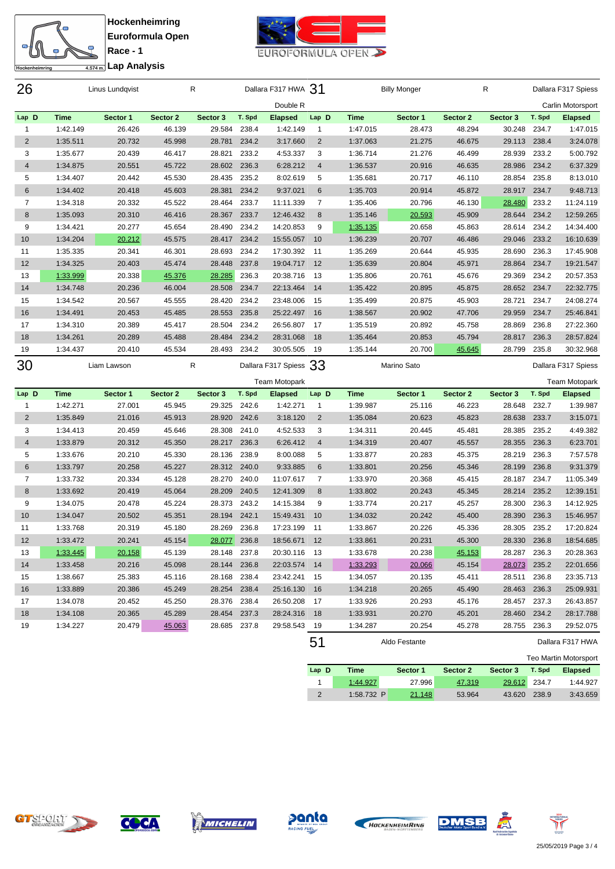



**Race - 1 Lap Analysis**

| 26                    |                         | Linus Lundqvist    |                    | R                      |        | Dallara F317 HWA 31          |                       |                      | <b>Billy Monger</b> |                    | R                      |        | Dallara F317 Spiess        |
|-----------------------|-------------------------|--------------------|--------------------|------------------------|--------|------------------------------|-----------------------|----------------------|---------------------|--------------------|------------------------|--------|----------------------------|
|                       |                         |                    |                    |                        |        | Double R                     |                       |                      |                     |                    |                        |        | Carlin Motorsport          |
| Lap D                 | Time                    | Sector 1           | Sector 2           | Sector 3               | T. Spd | <b>Elapsed</b>               | Lap D                 | <b>Time</b>          | Sector 1            | Sector 2           | Sector 3               | T. Spd | <b>Elapsed</b>             |
| 1                     | 1:42.149                | 26.426             | 46.139             | 29.584                 | 238.4  | 1:42.149                     | $\mathbf{1}$          | 1:47.015             | 28.473              | 48.294             | 30.248                 | 234.7  | 1:47.015                   |
| $\overline{2}$        | 1:35.511                | 20.732             | 45.998             | 28.781                 | 234.2  | 3:17.660                     | $\overline{2}$        | 1:37.063             | 21.275              | 46.675             | 29.113 238.4           |        | 3:24.078                   |
| 3                     | 1:35.677                | 20.439             | 46.417             | 28.821                 | 233.2  | 4:53.337                     | 3                     | 1:36.714             | 21.276              | 46.499             | 28.939                 | 233.2  | 5:00.792                   |
| 4                     | 1:34.875                | 20.551             | 45.722             | 28.602                 | 236.3  | 6:28.212                     | $\overline{4}$        | 1:36.537             | 20.916              | 46.635             | 28.986                 | 234.2  | 6:37.329                   |
| 5                     | 1:34.407                | 20.442             | 45.530             | 28.435                 | 235.2  | 8:02.619                     | 5                     | 1:35.681             | 20.717              | 46.110             | 28.854                 | 235.8  | 8:13.010                   |
| 6                     | 1:34.402                | 20.418             | 45.603             | 28.381                 | 234.2  | 9:37.021                     | 6                     | 1:35.703             | 20.914              | 45.872             | 28.917                 | 234.7  | 9:48.713                   |
| 7                     | 1:34.318                | 20.332             | 45.522             | 28.464                 | 233.7  | 11:11.339                    | $\overline{7}$        | 1:35.406             | 20.796              | 46.130             | 28.480                 | 233.2  | 11:24.119                  |
| 8                     | 1:35.093                | 20.310             | 46.416             | 28.367                 | 233.7  | 12:46.432                    | 8                     | 1:35.146             | 20.593              | 45.909             | 28.644                 | 234.2  | 12:59.265                  |
| 9                     | 1:34.421                | 20.277             | 45.654             | 28.490                 | 234.2  | 14:20.853                    | 9                     | 1:35.135             | 20.658              | 45.863             | 28.614                 | 234.2  | 14:34.400                  |
| 10                    | 1:34.204                | 20.212             | 45.575             | 28.417                 | 234.2  | 15:55.057                    | 10                    | 1:36.239             | 20.707              | 46.486             | 29.046                 | 233.2  | 16:10.639                  |
| 11                    | 1:35.335                | 20.341             | 46.301             | 28.693                 | 234.2  | 17:30.392                    | 11                    | 1:35.269             | 20.644              | 45.935             | 28.690                 | 236.3  | 17:45.908                  |
| 12                    | 1:34.325                | 20.403             | 45.474             | 28.448                 | 237.8  | 19:04.717                    | 12                    | 1:35.639             | 20.804              | 45.971             | 28.864                 | 234.7  | 19:21.547                  |
| 13                    | 1:33.999                | 20.338             | 45.376             | 28.285                 | 236.3  | 20:38.716                    | 13                    | 1:35.806             | 20.761              | 45.676             | 29.369                 | 234.2  | 20:57.353                  |
| 14                    | 1:34.748                | 20.236             | 46.004             | 28.508                 | 234.7  | 22:13.464                    | 14                    | 1:35.422             | 20.895              | 45.875             | 28.652                 | 234.7  | 22:32.775                  |
| 15                    | 1:34.542                | 20.567             | 45.555             | 28.420                 | 234.2  | 23:48.006                    | 15                    | 1:35.499             | 20.875              | 45.903             | 28.721                 | 234.7  | 24:08.274                  |
| 16                    | 1:34.491                | 20.453             | 45.485             | 28.553                 | 235.8  | 25:22.497                    | 16                    | 1:38.567             | 20.902              | 47.706             | 29.959                 | 234.7  | 25:46.841                  |
| 17                    | 1:34.310                | 20.389             | 45.417             | 28.504                 | 234.2  | 26:56.807                    | 17                    | 1:35.519             | 20.892              | 45.758             | 28.869                 | 236.8  | 27:22.360                  |
| 18                    | 1:34.261                | 20.289             | 45.488             | 28.484                 | 234.2  | 28:31.068                    | 18                    | 1:35.464             | 20.853              | 45.794             | 28.817                 | 236.3  | 28:57.824                  |
| 19                    | 1:34.437                | 20.410             | 45.534             | 28.493                 | 234.2  | 30:05.505                    | 19                    | 1:35.144             | 20.700              | 45.645             | 28.799                 | 235.8  | 30:32.968                  |
| 30                    |                         | Liam Lawson        |                    | R                      |        | Dallara F317 Spiess 33       |                       |                      | Marino Sato         |                    |                        |        | Dallara F317 Spiess        |
|                       |                         |                    |                    |                        |        |                              |                       |                      |                     |                    |                        |        |                            |
|                       |                         |                    |                    |                        | T. Spd | Team Motopark                |                       | <b>Time</b>          |                     |                    |                        | T. Spd | <b>Team Motopark</b>       |
| Lap D<br>$\mathbf{1}$ | <b>Time</b><br>1:42.271 | Sector 1<br>27.001 | Sector 2<br>45.945 | Sector 3<br>29.325     | 242.6  | <b>Elapsed</b><br>1:42.271   | Lap D<br>$\mathbf{1}$ | 1:39.987             | Sector 1<br>25.116  | Sector 2<br>46.223 | Sector 3<br>28.648     | 232.7  | <b>Elapsed</b><br>1:39.987 |
| $\overline{2}$        | 1:35.849                | 21.016             | 45.913             | 28.920                 | 242.6  | 3:18.120                     | $\overline{2}$        | 1:35.084             | 20.623              | 45.823             | 28.638                 | 233.7  | 3:15.071                   |
| 3                     | 1:34.413                | 20.459             | 45.646             | 28.308                 | 241.0  | 4:52.533                     | 3                     | 1:34.311             | 20.445              | 45.481             | 28.385                 | 235.2  | 4:49.382                   |
| 4                     | 1:33.879                | 20.312             | 45.350             | 28.217                 | 236.3  | 6:26.412                     | $\overline{4}$        | 1:34.319             | 20.407              | 45.557             | 28.355                 | 236.3  | 6:23.701                   |
| 5                     | 1:33.676                | 20.210             | 45.330             | 28.136                 | 238.9  | 8:00.088                     | 5                     | 1:33.877             | 20.283              | 45.375             | 28.219                 | 236.3  | 7:57.578                   |
| 6                     | 1:33.797                | 20.258             | 45.227             | 28.312 240.0           |        | 9:33.885                     | $6\phantom{.}6$       | 1:33.801             | 20.256              | 45.346             | 28.199                 | 236.8  | 9:31.379                   |
| 7                     | 1:33.732                | 20.334             | 45.128             | 28.270                 | 240.0  | 11:07.617                    | 7                     | 1:33.970             | 20.368              | 45.415             | 28.187                 | 234.7  | 11:05.349                  |
| 8                     | 1:33.692                | 20.419             | 45.064             | 28.209                 | 240.5  | 12:41.309                    | 8                     | 1:33.802             | 20.243              | 45.345             | 28.214                 | 235.2  | 12:39.151                  |
| 9                     | 1:34.075                | 20.478             | 45.224             | 28.373 243.2           |        | 14:15.384                    | 9                     | 1:33.774             | 20.217              | 45.257             | 28.300                 | 236.3  | 14:12.925                  |
| 10                    | 1:34.047                | 20.502             | 45.351             | 28.194 242.1           |        | 15:49.431                    | 10                    | 1:34.032             | 20.242              | 45.400             | 28.390                 | 236.3  | 15:46.957                  |
| 11                    | 1:33.768                | 20.319             | 45.180             | 28.269                 | 236.8  | 17:23.199                    | 11                    | 1:33.867             | 20.226              | 45.336             | 28.305                 | 235.2  | 17:20.824                  |
| 12                    |                         | 20.241             | 45.154             | 28.077                 | 236.8  | 18:56.671                    | 12                    |                      | 20.231              | 45.300             | 28.330                 | 236.8  | 18:54.685                  |
|                       | 1:33.472                |                    | 45.139             |                        |        |                              |                       | 1:33.861<br>1:33.678 | 20.238              |                    |                        |        | 20:28.363                  |
| 13<br>14              | 1:33.445<br>1:33.458    | 20.158<br>20.216   | 45.098             | 28.148 237.8<br>28.144 | 236.8  | 20:30.116 13<br>22:03.574 14 |                       |                      | 20.066              | 45.153<br>45.154   | 28.287 236.3<br>28.073 | 235.2  | 22:01.656                  |
|                       |                         |                    |                    | 28.168 238.4           |        |                              |                       | 1:33.293             |                     |                    | 28.511 236.8           |        |                            |
| 15                    | 1:38.667                | 25.383             | 45.116             |                        |        | 23:42.241 15                 |                       | 1:34.057             | 20.135              | 45.411             |                        |        | 23:35.713                  |
| 16                    | 1:33.889                | 20.386             | 45.249             | 28.254                 | 238.4  | 25:16.130 16                 |                       | 1:34.218             | 20.265              | 45.490             | 28.463 236.3           |        | 25:09.931                  |
| 17                    | 1:34.078                | 20.452             | 45.250             | 28.376                 | 238.4  | 26:50.208                    | 17                    | 1:33.926             | 20.293              | 45.176             | 28.457                 | 237.3  | 26:43.857                  |
| 18                    | 1:34.108                | 20.365             | 45.289             | 28.454                 | 237.3  | 28:24.316 18                 |                       | 1:33.931             | 20.270              | 45.201             | 28.460                 | 234.2  | 28:17.788                  |
| 19                    | 1:34.227                | 20.479             | 45.063             | 28.685 237.8           |        | 29:58.543 19                 |                       | 1:34.287             | 20.254              | 45.278             | 28.755                 | 236.3  | 29:52.075                  |
|                       |                         |                    |                    |                        |        |                              | $\mathbf{r}$          |                      |                     |                    |                        |        |                            |

51 Aldo Festante Dallara F317 HWA Teo Martin Motorsport **Lap D Time Sector 1 Sector 2 Sector 3 T. Spd Elapsed** 1:44.927 27.996 47.319 29.612 234.7 1:44.927 1:58.732 P 21.148 53.964 43.620 238.9 3:43.659













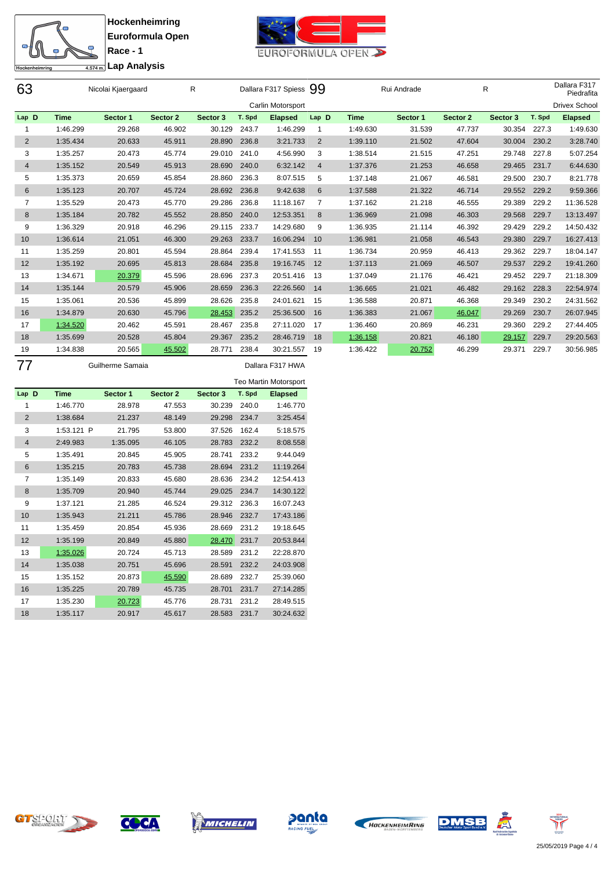



**Race - 1 Lap Analysis**

| 63             |             | Nicolai Kjaergaard |          | $\mathsf{R}$ |        | Dallara F317 Spiess 99 |                |             | Rui Andrade |          | R        |        | Dallara F317<br>Piedrafita |
|----------------|-------------|--------------------|----------|--------------|--------|------------------------|----------------|-------------|-------------|----------|----------|--------|----------------------------|
|                |             |                    |          |              |        | Carlin Motorsport      |                |             |             |          |          |        | <b>Drivex School</b>       |
| Lap D          | <b>Time</b> | Sector 1           | Sector 2 | Sector 3     | T. Spd | <b>Elapsed</b>         | Lap D          | <b>Time</b> | Sector 1    | Sector 2 | Sector 3 | T. Spd | <b>Elapsed</b>             |
|                | 1:46.299    | 29.268             | 46.902   | 30.129       | 243.7  | 1:46.299               |                | 1:49.630    | 31.539      | 47.737   | 30.354   | 227.3  | 1:49.630                   |
| $\overline{2}$ | 1:35.434    | 20.633             | 45.911   | 28.890       | 236.8  | 3:21.733               | 2              | 1:39.110    | 21.502      | 47.604   | 30.004   | 230.2  | 3:28.740                   |
| 3              | 1:35.257    | 20.473             | 45.774   | 29.010       | 241.0  | 4:56.990               | 3              | 1:38.514    | 21.515      | 47.251   | 29.748   | 227.8  | 5:07.254                   |
| $\overline{4}$ | 1:35.152    | 20.549             | 45.913   | 28.690       | 240.0  | 6:32.142               | $\overline{4}$ | 1:37.376    | 21.253      | 46.658   | 29.465   | 231.7  | 6:44.630                   |
| 5              | 1:35.373    | 20.659             | 45.854   | 28.860       | 236.3  | 8:07.515               | 5              | 1:37.148    | 21.067      | 46.581   | 29.500   | 230.7  | 8:21.778                   |
| 6              | 1:35.123    | 20.707             | 45.724   | 28.692       | 236.8  | 9:42.638               | 6              | 1:37.588    | 21.322      | 46.714   | 29.552   | 229.2  | 9:59.366                   |
| $\overline{7}$ | 1:35.529    | 20.473             | 45.770   | 29.286       | 236.8  | 11:18.167              | 7              | 1:37.162    | 21.218      | 46.555   | 29.389   | 229.2  | 11:36.528                  |
| 8              | 1:35.184    | 20.782             | 45.552   | 28.850       | 240.0  | 12:53.351              | 8              | 1:36.969    | 21.098      | 46.303   | 29.568   | 229.7  | 13:13.497                  |
| 9              | 1:36.329    | 20.918             | 46.296   | 29.115       | 233.7  | 14:29.680              | 9              | 1:36.935    | 21.114      | 46.392   | 29.429   | 229.2  | 14:50.432                  |
| 10             | 1:36.614    | 21.051             | 46.300   | 29.263       | 233.7  | 16:06.294              | 10             | 1:36.981    | 21.058      | 46.543   | 29.380   | 229.7  | 16:27.413                  |
| 11             | 1:35.259    | 20.801             | 45.594   | 28.864       | 239.4  | 17:41.553              | 11             | 1:36.734    | 20.959      | 46.413   | 29.362   | 229.7  | 18:04.147                  |
| 12             | 1:35.192    | 20.695             | 45.813   | 28.684       | 235.8  | 19:16.745              | 12             | 1:37.113    | 21.069      | 46.507   | 29.537   | 229.2  | 19:41.260                  |
| 13             | 1:34.671    | 20.379             | 45.596   | 28.696       | 237.3  | 20:51.416              | 13             | 1:37.049    | 21.176      | 46.421   | 29.452   | 229.7  | 21:18.309                  |
| 14             | 1:35.144    | 20.579             | 45.906   | 28.659       | 236.3  | 22:26.560              | 14             | 1:36.665    | 21.021      | 46.482   | 29.162   | 228.3  | 22:54.974                  |
| 15             | 1:35.061    | 20.536             | 45.899   | 28.626       | 235.8  | 24:01.621              | 15             | 1:36.588    | 20.871      | 46.368   | 29.349   | 230.2  | 24:31.562                  |
| 16             | 1:34.879    | 20.630             | 45.796   | 28.453       | 235.2  | 25:36.500              | 16             | 1:36.383    | 21.067      | 46.047   | 29.269   | 230.7  | 26:07.945                  |
| 17             | 1:34.520    | 20.462             | 45.591   | 28.467       | 235.8  | 27:11.020              | 17             | 1:36.460    | 20.869      | 46.231   | 29.360   | 229.2  | 27:44.405                  |
| 18             | 1:35.699    | 20.528             | 45.804   | 29.367       | 235.2  | 28:46.719              | 18             | 1:36.158    | 20.821      | 46.180   | 29.157   | 229.7  | 29:20.563                  |
| 19             | 1:34.838    | 20.565             | 45.502   | 28.771       | 238.4  | 30:21.557              | 19             | 1:36.422    | 20.752      | 46.299   | 29.371   | 229.7  | 30:56.985                  |
|                |             |                    |          |              |        |                        |                |             |             |          |          |        |                            |

Guilherme Samaia Dallara F317 HWA

|             |          |          |          |        | <b>Teo Martin Motorsport</b> |
|-------------|----------|----------|----------|--------|------------------------------|
| <b>Time</b> | Sector 1 | Sector 2 | Sector 3 | T. Spd | <b>Elapsed</b>               |
| 1:46.770    | 28.978   | 47.553   | 30.239   | 240.0  | 1:46.770                     |
| 1:38.684    | 21.237   | 48.149   | 29.298   | 234.7  | 3:25.454                     |
| 1:53.121    | 21.795   | 53.800   | 37.526   | 162.4  | 5:18.575                     |
| 2:49.983    | 1:35.095 | 46.105   | 28.783   | 232.2  | 8:08.558                     |
| 1:35.491    | 20.845   | 45.905   | 28.741   | 233.2  | 9:44.049                     |
| 1:35.215    | 20.783   | 45.738   | 28.694   | 231.2  | 11:19.264                    |
| 1:35.149    | 20.833   | 45.680   | 28.636   | 234.2  | 12:54.413                    |
| 1:35.709    | 20.940   | 45.744   | 29.025   | 234.7  | 14:30.122                    |
| 1:37.121    | 21.285   | 46.524   | 29.312   | 236.3  | 16:07.243                    |
| 1:35.943    | 21.211   | 45.786   | 28.946   | 232.7  | 17:43.186                    |
| 1:35.459    | 20.854   | 45.936   | 28.669   | 231.2  | 19:18.645                    |
| 1:35.199    | 20.849   | 45.880   | 28.470   | 231.7  | 20:53.844                    |
| 1:35.026    | 20.724   | 45.713   | 28.589   | 231.2  | 22:28.870                    |
| 1:35.038    | 20.751   | 45.696   | 28.591   | 232.2  | 24:03.908                    |
| 1:35.152    | 20.873   | 45.590   | 28.689   | 232.7  | 25:39.060                    |
| 1:35.225    | 20.789   | 45.735   | 28.701   | 231.7  | 27:14.285                    |
| 1:35.230    | 20.723   | 45.776   | 28.731   | 231.2  | 28:49.515                    |
| 1:35.117    | 20.917   | 45.617   | 28.583   | 231.7  | 30:24.632                    |
|             | Lap D    | P        |          |        |                              |













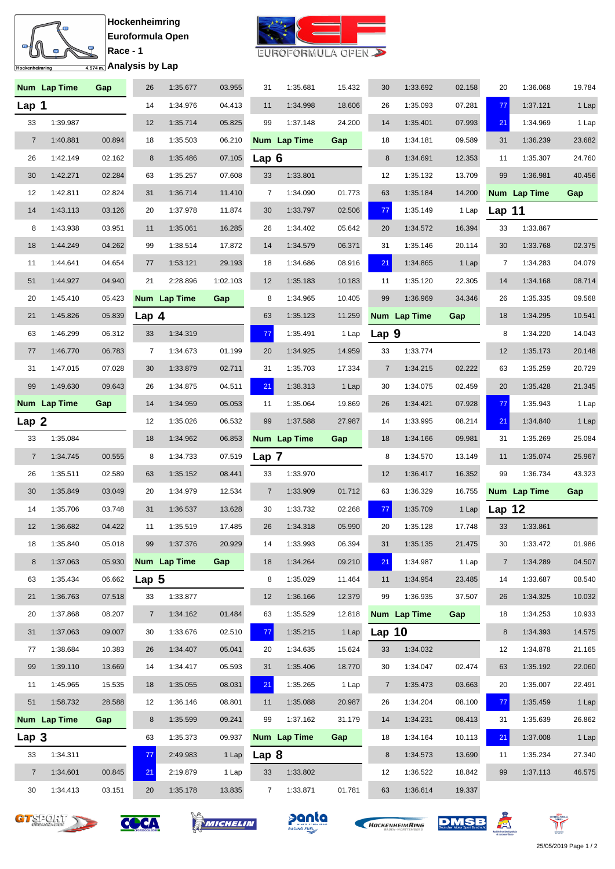### Ő  $\overline{\mathbf{S}}$  $\bullet$  $\overline{\frac{4.574 \text{ m}}{4.574 \text{ m}}}$ Analysis by Lap Hockenheimring

**Hockenheimring Euroformula Open Race - 1**



|                  | Num Lap Time | Gap    | 26      | 1:35.677     | 03.955   | 31             | 1:35.681     | 15.432 | 30             | 1:33.692     | 02.158 | 20             | 1:36.068     | 19.784 |
|------------------|--------------|--------|---------|--------------|----------|----------------|--------------|--------|----------------|--------------|--------|----------------|--------------|--------|
| Lap 1            |              |        | 14      | 1:34.976     | 04.413   | 11             | 1:34.998     | 18.606 | 26             | 1:35.093     | 07.281 | 77             | 1:37.121     | 1 Lap  |
| 33               | 1:39.987     |        | 12      | 1:35.714     | 05.825   | 99             | 1:37.148     | 24.200 | 14             | 1:35.401     | 07.993 | 21             | 1:34.969     | 1 Lap  |
| $\overline{7}$   | 1:40.881     | 00.894 | 18      | 1:35.503     | 06.210   |                | Num Lap Time | Gap    | 18             | 1:34.181     | 09.589 | 31             | 1:36.239     | 23.682 |
| 26               | 1:42.149     | 02.162 | $\bf 8$ | 1:35.486     | 07.105   | Lap 6          |              |        | 8              | 1:34.691     | 12.353 | 11             | 1:35.307     | 24.760 |
| 30               | 1:42.271     | 02.284 | 63      | 1:35.257     | 07.608   | 33             | 1:33.801     |        | 12             | 1:35.132     | 13.709 | 99             | 1:36.981     | 40.456 |
| 12               | 1:42.811     | 02.824 | 31      | 1:36.714     | 11.410   | 7              | 1:34.090     | 01.773 | 63             | 1:35.184     | 14.200 |                | Num Lap Time | Gap    |
| 14               | 1:43.113     | 03.126 | 20      | 1:37.978     | 11.874   | 30             | 1:33.797     | 02.506 | 77             | 1:35.149     | 1 Lap  | Lap $11$       |              |        |
| 8                | 1:43.938     | 03.951 | 11      | 1:35.061     | 16.285   | 26             | 1:34.402     | 05.642 | 20             | 1:34.572     | 16.394 | 33             | 1:33.867     |        |
| 18               | 1:44.249     | 04.262 | 99      | 1:38.514     | 17.872   | 14             | 1:34.579     | 06.371 | 31             | 1:35.146     | 20.114 | 30             | 1:33.768     | 02.375 |
| 11               | 1:44.641     | 04.654 | 77      | 1:53.121     | 29.193   | 18             | 1:34.686     | 08.916 | 21             | 1:34.865     | 1 Lap  | 7              | 1:34.283     | 04.079 |
| 51               | 1:44.927     | 04.940 | 21      | 2:28.896     | 1:02.103 | 12             | 1:35.183     | 10.183 | 11             | 1:35.120     | 22.305 | 14             | 1:34.168     | 08.714 |
| 20               | 1:45.410     | 05.423 |         | Num Lap Time | Gap      | 8              | 1:34.965     | 10.405 | 99             | 1:36.969     | 34.346 | 26             | 1:35.335     | 09.568 |
| 21               | 1:45.826     | 05.839 | Lap $4$ |              |          | 63             | 1:35.123     | 11.259 |                | Num Lap Time | Gap    | 18             | 1:34.295     | 10.541 |
| 63               | 1:46.299     | 06.312 | 33      | 1:34.319     |          | 77             | 1:35.491     | 1 Lap  | Lap 9          |              |        | 8              | 1:34.220     | 14.043 |
| 77               | 1:46.770     | 06.783 | 7       | 1:34.673     | 01.199   | 20             | 1:34.925     | 14.959 | 33             | 1:33.774     |        | 12             | 1:35.173     | 20.148 |
| 31               | 1:47.015     | 07.028 | 30      | 1:33.879     | 02.711   | 31             | 1:35.703     | 17.334 | $\overline{7}$ | 1:34.215     | 02.222 | 63             | 1:35.259     | 20.729 |
| 99               | 1:49.630     | 09.643 | 26      | 1:34.875     | 04.511   | 21             | 1:38.313     | 1 Lap  | 30             | 1:34.075     | 02.459 | 20             | 1:35.428     | 21.345 |
|                  | Num Lap Time | Gap    | 14      | 1:34.959     | 05.053   | 11             | 1:35.064     | 19.869 | 26             | 1:34.421     | 07.928 | 77             | 1:35.943     | 1 Lap  |
| Lap <sub>2</sub> |              |        | 12      | 1:35.026     | 06.532   | 99             | 1:37.588     | 27.987 | 14             | 1:33.995     | 08.214 | 21             | 1:34.840     | 1 Lap  |
| 33               | 1:35.084     |        | 18      | 1:34.962     | 06.853   |                | Num Lap Time | Gap    | 18             | 1:34.166     | 09.981 | 31             | 1:35.269     | 25.084 |
| $\overline{7}$   | 1:34.745     | 00.555 | 8       | 1:34.733     | 07.519   | Lap 7          |              |        | 8              | 1:34.570     | 13.149 | 11             | 1:35.074     | 25.967 |
| 26               | 1:35.511     | 02.589 | 63      | 1:35.152     | 08.441   | 33             | 1:33.970     |        | 12             | 1:36.417     | 16.352 | 99             | 1:36.734     | 43.323 |
| 30               | 1:35.849     | 03.049 | 20      | 1:34.979     | 12.534   | $\overline{7}$ | 1:33.909     | 01.712 | 63             | 1:36.329     | 16.755 |                | Num Lap Time | Gap    |
| 14               | 1:35.706     | 03.748 | 31      | 1:36.537     | 13.628   | 30             | 1:33.732     | 02.268 | 77             | 1:35.709     | 1 Lap  | Lap $12$       |              |        |
| 12               | 1:36.682     | 04.422 | 11      | 1:35.519     | 17.485   | 26             | 1:34.318     | 05.990 | 20             | 1:35.128     | 17.748 | 33             | 1:33.861     |        |
| 18               | 1:35.840     | 05.018 | 99      | 1:37.376     | 20.929   | 14             | 1:33.993     | 06.394 | 31             | 1:35.135     | 21.475 | 30             | 1:33.472     | 01.986 |
| 8                | 1:37.063     | 05.930 |         | Num Lap Time | Gap      | 18             | 1:34.264     | 09.210 | 21             | 1:34.987     | 1 Lap  | $\overline{7}$ | 1:34.289     | 04.507 |
| 63               | 1:35.434     | 06.662 | Lap $5$ |              |          | 8              | 1:35.029     | 11.464 | 11             | 1:34.954     | 23.485 | 14             | 1:33.687     | 08.540 |
| 21               | 1:36.763     | 07.518 | 33      | 1:33.877     |          | 12             | 1:36.166     | 12.379 | 99             | 1:36.935     | 37.507 | 26             | 1:34.325     | 10.032 |
| 20               | 1:37.868     | 08.207 | 7       | 1:34.162     | 01.484   | 63             | 1:35.529     | 12.818 |                | Num Lap Time | Gap    | 18             | 1:34.253     | 10.933 |
| 31               | 1:37.063     | 09.007 | 30      | 1:33.676     | 02.510   | 77             | 1:35.215     | 1 Lap  | Lap $10$       |              |        | 8              | 1:34.393     | 14.575 |
| 77               | 1:38.684     | 10.383 | 26      | 1:34.407     | 05.041   | 20             | 1:34.635     | 15.624 | 33             | 1:34.032     |        | 12             | 1:34.878     | 21.165 |
| 99               |              |        |         |              |          |                |              |        |                |              |        |                |              | 22.060 |
|                  | 1:39.110     | 13.669 | 14      | 1:34.417     | 05.593   | 31             | 1:35.406     | 18.770 | 30             | 1:34.047     | 02.474 | 63             | 1:35.192     |        |
| 11               | 1:45.965     | 15.535 | 18      | 1:35.055     | 08.031   | 21             | 1:35.265     | 1 Lap  | $\overline{7}$ | 1:35.473     | 03.663 | 20             | 1:35.007     | 22.491 |
| 51               | 1:58.732     | 28.588 | 12      | 1:36.146     | 08.801   | 11             | 1:35.088     | 20.987 | 26             | 1:34.204     | 08.100 | 77             | 1:35.459     | 1 Lap  |
|                  | Num Lap Time | Gap    | 8       | 1:35.599     | 09.241   | 99             | 1:37.162     | 31.179 | 14             | 1:34.231     | 08.413 | 31             | 1:35.639     | 26.862 |
| Lap 3            |              |        | 63      | 1:35.373     | 09.937   |                | Num Lap Time | Gap    | 18             | 1:34.164     | 10.113 | 21             | 1:37.008     | 1 Lap  |
| 33               | 1:34.311     |        | 77      | 2:49.983     | 1 Lap    | Lap 8          |              |        | 8              | 1:34.573     | 13.690 | 11             | 1:35.234     | 27.340 |
| $\overline{7}$   | 1:34.601     | 00.845 | 21      | 2:19.879     | 1 Lap    | 33             | 1:33.802     |        | 12             | 1:36.522     | 18.842 | 99             | 1:37.113     | 46.575 |













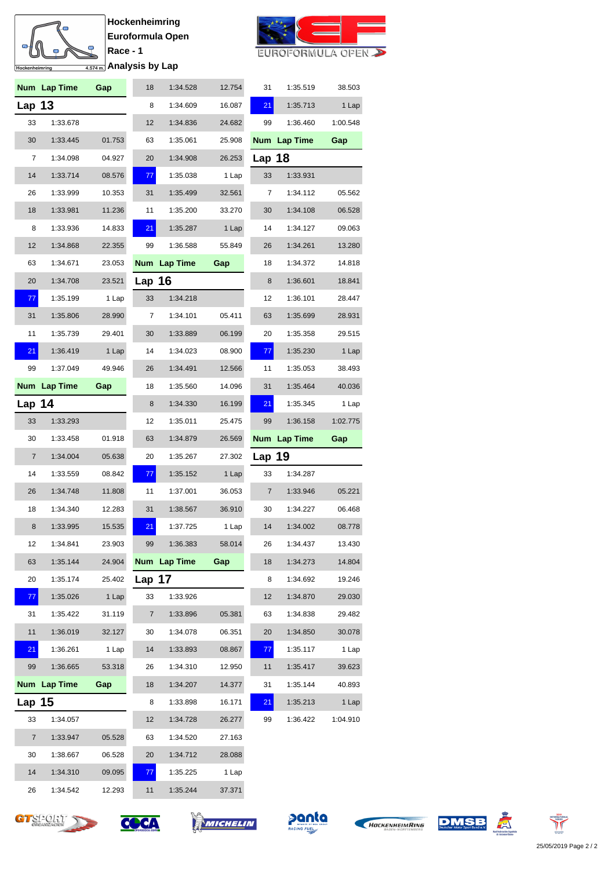### m  $\overline{\mathbf{S}}$  $\mathbb{R}$ Hockenheimring  $\overline{4.5}$

**Hockenheimring Euroformula Open Race - 1**



| ⊃ |                     |  |  |
|---|---------------------|--|--|
|   | 74m Analysis by Lap |  |  |
|   |                     |  |  |
|   |                     |  |  |

|               | Num Lap Time | Gap    | 18       | 1:34.528     | 12.754 | 31             | 1:35.519     | 38.503   |
|---------------|--------------|--------|----------|--------------|--------|----------------|--------------|----------|
| <b>Lap 13</b> |              |        | 8        | 1:34.609     | 16.087 | 21             | 1:35.713     | 1 Lap    |
| 33            | 1:33.678     |        | 12       | 1:34.836     | 24.682 | 99             | 1:36.460     | 1:00.548 |
| 30            | 1:33.445     | 01.753 | 63       | 1:35.061     | 25.908 |                | Num Lap Time | Gap      |
| 7             | 1:34.098     | 04.927 | 20       | 1:34.908     | 26.253 | Lap 18         |              |          |
| 14            | 1:33.714     | 08.576 | 77       | 1:35.038     | 1 Lap  | 33             | 1:33.931     |          |
| 26            | 1:33.999     | 10.353 | 31       | 1:35.499     | 32.561 | 7              | 1:34.112     | 05.562   |
| 18            | 1:33.981     | 11.236 | 11       | 1:35.200     | 33.270 | 30             | 1:34.108     | 06.528   |
| 8             | 1:33.936     | 14.833 | 21       | 1:35.287     | 1 Lap  | 14             | 1:34.127     | 09.063   |
| 12            | 1:34.868     | 22.355 | 99       | 1:36.588     | 55.849 | 26             | 1:34.261     | 13.280   |
| 63            | 1:34.671     | 23.053 |          | Num Lap Time | Gap    | 18             | 1:34.372     | 14.818   |
| 20            | 1:34.708     | 23.521 | Lap 16   |              |        | 8              | 1:36.601     | 18.841   |
| 77            | 1:35.199     | 1 Lap  | 33       | 1:34.218     |        | 12             | 1:36.101     | 28.447   |
| 31            | 1:35.806     | 28.990 | 7        | 1:34.101     | 05.411 | 63             | 1:35.699     | 28.931   |
| 11            | 1:35.739     | 29.401 | 30       | 1:33.889     | 06.199 | 20             | 1:35.358     | 29.515   |
| 21            | 1:36.419     | 1 Lap  | 14       | 1:34.023     | 08.900 | 77             | 1:35.230     | 1 Lap    |
| 99            | 1:37.049     | 49.946 | 26       | 1:34.491     | 12.566 | 11             | 1:35.053     | 38.493   |
|               | Num Lap Time | Gap    | 18       | 1:35.560     | 14.096 | 31             | 1:35.464     | 40.036   |
| Lap 14        |              |        | 8        | 1:34.330     | 16.199 | 21             | 1:35.345     | 1 Lap    |
| 33            | 1:33.293     |        | 12       | 1:35.011     | 25.475 | 99             | 1:36.158     | 1:02.775 |
|               |              |        |          |              |        |                |              |          |
| 30            | 1:33.458     | 01.918 | 63       | 1:34.879     | 26.569 |                | Num Lap Time | Gap      |
| 7             | 1:34.004     | 05.638 | 20       | 1:35.267     | 27.302 | Lap 19         |              |          |
| 14            | 1:33.559     | 08.842 | 77       | 1:35.152     | 1 Lap  | 33             | 1:34.287     |          |
| 26            | 1:34.748     | 11.808 | 11       | 1:37.001     | 36.053 | $\overline{7}$ | 1:33.946     | 05.221   |
| 18            | 1:34.340     | 12.283 | 31       | 1:38.567     | 36.910 | 30             | 1:34.227     | 06.468   |
| 8             | 1:33.995     | 15.535 | 21       | 1:37.725     | 1 Lap  | 14             | 1:34.002     | 08.778   |
| 12            | 1:34.841     | 23.903 | 99       | 1:36.383     | 58.014 | 26             | 1:34.437     | 13.430   |
| 63            | 1:35.144     | 24.904 |          | Num Lap Time | Gap    | 18             | 1:34.273     | 14.804   |
| 20            | 1:35.174     | 25.402 | Lap $17$ |              |        | 8              | 1:34.692     | 19.246   |
| 77            | 1:35.026     | 1 Lap  | 33       | 1:33.926     |        | 12             | 1:34.870     | 29.030   |
| 31            | 1:35.422     | 31.119 | 7        | 1:33.896     | 05.381 | 63             | 1:34.838     | 29.482   |
| 11            | 1:36.019     | 32.127 | 30       | 1:34.078     | 06.351 | 20             | 1:34.850     | 30.078   |
| 21            | 1:36.261     | 1 Lap  | 14       | 1:33.893     | 08.867 | 77             | 1:35.117     | 1 Lap    |
| 99            | 1:36.665     | 53.318 | 26       | 1:34.310     | 12.950 | 11             | 1:35.417     | 39.623   |
|               | Num Lap Time | Gap    | 18       | 1:34.207     | 14.377 | 31             | 1:35.144     | 40.893   |
| Lap $15$      |              |        | 8        | 1:33.898     | 16.171 | 21             | 1:35.213     | 1 Lap    |
| 33            | 1:34.057     |        | 12       | 1:34.728     | 26.277 | 99             | 1:36.422     | 1:04.910 |
| 7             | 1:33.947     | 05.528 | 63       | 1:34.520     | 27.163 |                |              |          |
| 30            | 1:38.667     | 06.528 | 20       | 1:34.712     | 28.088 |                |              |          |
| 14            | 1:34.310     | 09.095 | 77       | 1:35.225     | 1 Lap  |                |              |          |













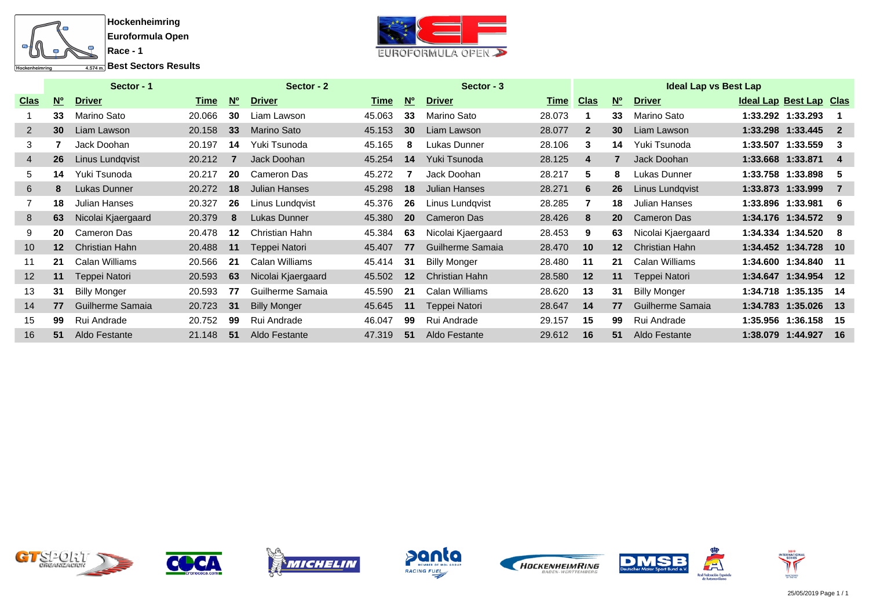

**Best Sectors Results** 



|                |                                       | Sector - 1          |        |     | Sector - 2           |        |                 | Sector - 3          | <b>Ideal Lap vs Best Lap</b> |                |                 |                     |                         |                   |                |  |
|----------------|---------------------------------------|---------------------|--------|-----|----------------------|--------|-----------------|---------------------|------------------------------|----------------|-----------------|---------------------|-------------------------|-------------------|----------------|--|
| <b>Clas</b>    | $\underline{\mathsf{N}^{\mathsf{o}}}$ | <b>Driver</b>       | Time   | $W$ | <b>Driver</b>        | Time   | N <sup>o</sup>  | <b>Driver</b>       | <b>Time Clas</b>             |                | <b>No</b>       | <b>Driver</b>       | Ideal Lap Best Lap Clas |                   |                |  |
|                | 33                                    | Marino Sato         | 20.066 | 30  | Liam Lawson          | 45.063 | 33              | Marino Sato         | 28.073                       |                | 33              | Marino Sato         |                         | 1:33.292 1:33.293 |                |  |
| $\overline{2}$ | 30 <sup>°</sup>                       | Liam Lawson         | 20.158 | 33  | <b>Marino Sato</b>   | 45.153 | 30 <sup>°</sup> | Liam Lawson         | 28.077                       | $\overline{2}$ | 30 <sup>°</sup> | Liam Lawson         |                         | 1:33.298 1:33.445 | $\overline{2}$ |  |
| 3              |                                       | Jack Doohan         | 20.197 | 14  | Yuki Tsunoda         | 45.165 | 8               | Lukas Dunner        | 28.106                       | 3              | 14              | Yuki Tsunoda        |                         | 1:33.507 1:33.559 | 3              |  |
| $\overline{4}$ | 26                                    | Linus Lundqvist     | 20.212 |     | Jack Doohan          | 45.254 | 14              | Yuki Tsunoda        | 28.125                       | $\overline{4}$ | 7               | Jack Doohan         | 1:33.668 1:33.871       |                   | 4              |  |
| 5              | 14                                    | Yuki Tsunoda        | 20.217 | 20  | Cameron Das          | 45.272 |                 | Jack Doohan         | 28.217                       | 5              | 8               | Lukas Dunner        |                         | 1:33.758 1:33.898 | 5              |  |
| 6              | 8                                     | Lukas Dunner        | 20.272 | 18  | <b>Julian Hanses</b> | 45.298 | 18              | Julian Hanses       | 28.271                       | 6              | 26              | Linus Lundgvist     |                         | 1:33.873 1:33.999 | $\overline{7}$ |  |
|                | 18                                    | Julian Hanses       | 20.327 | 26  | Linus Lundqvist      | 45.376 | 26              | Linus Lundqvist     | 28.285                       |                | 18              | Julian Hanses       |                         | 1:33.896 1:33.981 | 6              |  |
| 8              | 63                                    | Nicolai Kjaergaard  | 20.379 | 8   | Lukas Dunner         | 45.380 | <b>20</b>       | Cameron Das         | 28.426                       | 8              | <b>20</b>       | Cameron Das         |                         | 1:34.176 1:34.572 | 9              |  |
| 9              | 20                                    | Cameron Das         | 20.478 | 12  | Christian Hahn       | 45.384 | 63              | Nicolai Kjaergaard  | 28.453                       | 9              | 63              | Nicolai Kjaergaard  |                         | 1:34.334 1:34.520 | -8             |  |
| 10             | $12 \,$                               | Christian Hahn      | 20.488 | 11  | Teppei Natori        | 45.407 | 77              | Guilherme Samaia    | 28.470                       | 10             | $12 \,$         | Christian Hahn      |                         | 1:34.452 1:34.728 | 10             |  |
| 11             | 21                                    | Calan Williams      | 20.566 | -21 | Calan Williams       | 45.414 | 31              | <b>Billy Monger</b> | 28.480                       | 11             | 21              | Calan Williams      |                         | 1:34.600 1:34.840 | 11             |  |
| 12             | 11                                    | Teppei Natori       | 20.593 | 63  | Nicolai Kjaergaard   | 45.502 | 12              | Christian Hahn      | 28.580                       | 12             | 11              | Teppei Natori       |                         | 1:34.647 1:34.954 | 12             |  |
| 13             | 31                                    | <b>Billy Monger</b> | 20.593 | 77  | Guilherme Samaia     | 45.590 | 21              | Calan Williams      | 28.620                       | 13             | 31              | <b>Billy Monger</b> |                         | 1:34.718 1:35.135 | -14            |  |
| 14             | 77                                    | Guilherme Samaia    | 20.723 | 31  | <b>Billy Monger</b>  | 45.645 | 11              | Teppei Natori       | 28.647                       | 14             | 77              | Guilherme Samaia    |                         | 1:34.783 1:35.026 | $_{13}$        |  |
| 15             | 99                                    | Rui Andrade         | 20.752 | 99  | Rui Andrade          | 46.047 | 99              | Rui Andrade         | 29.157                       | 15             | 99              | Rui Andrade         |                         | 1:35.956 1:36.158 | -15            |  |
| 16             | 51                                    | Aldo Festante       | 21.148 | 51  | Aldo Festante        | 47.319 | 51              | Aldo Festante       | 29.612                       | 16             | 51              | Aldo Festante       |                         | 1:38.079 1:44.927 | 16             |  |













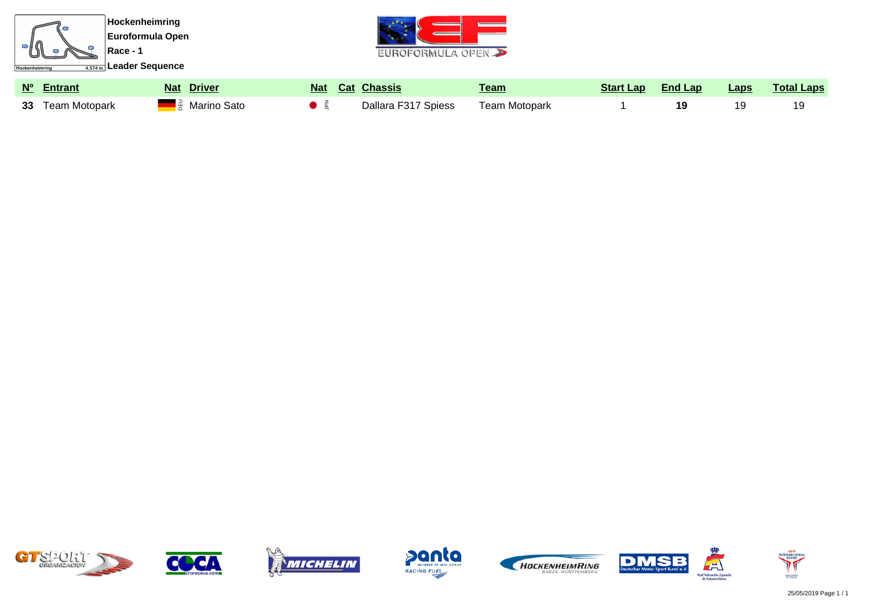













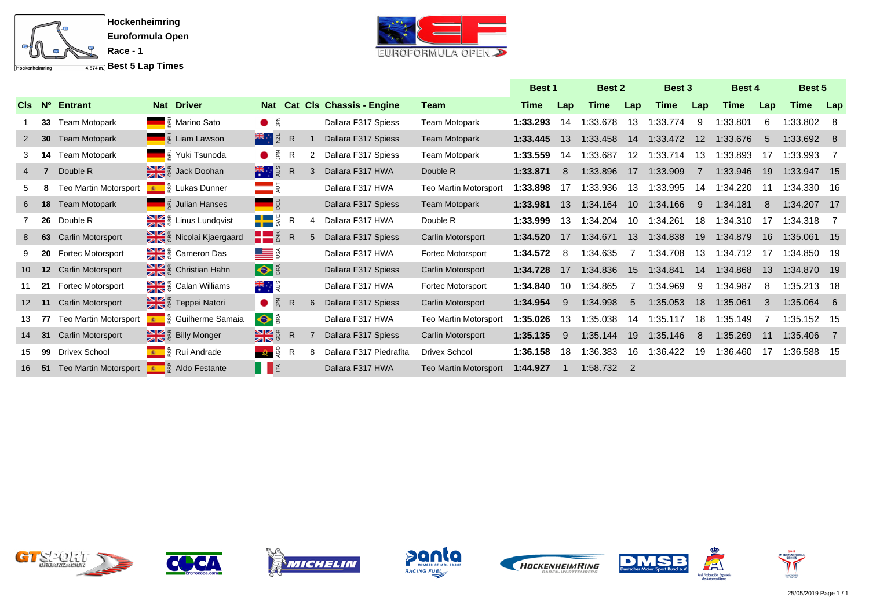



|                 |                 |                          |                                                          |                                             |              |   |                             |                              | <u>Best 1</u> |     | <u>Best 2</u> |     | <b>Best 3</b> |     | <b>Best 4</b> |     | <u>Best 5</u> |     |
|-----------------|-----------------|--------------------------|----------------------------------------------------------|---------------------------------------------|--------------|---|-----------------------------|------------------------------|---------------|-----|---------------|-----|---------------|-----|---------------|-----|---------------|-----|
| <b>CIS</b>      | <u>Nº</u>       | <b>Entrant</b>           | <b>Driver</b><br><b>Nat</b>                              | <b>Nat</b>                                  | <b>Cat</b>   |   | <b>Cls Chassis - Engine</b> | <u>Team</u>                  | <u>Time</u>   | Lap | Time          | Lap | Time          | Lap | Time          | Lap | <b>Time</b>   | Lap |
|                 |                 | 33 Team Motopark         | ■ <sub>R</sub> Marino Sato                               | $\bullet$                                   |              |   | Dallara F317 Spiess         | <b>Team Motopark</b>         | 1:33.293      | 14  | 1:33.678      | 13  | 1:33.774      | 9   | :33.801       | 6   | 1:33.802 8    |     |
|                 |                 | <b>30</b> Team Motopark  | <b>Example 1</b> Alexander Alexander Control             | <del>≭</del> ਼ਾ ਭੂ                          | $\mathsf{R}$ |   | Dallara F317 Spiess         | <b>Team Motopark</b>         | 1:33.445      | 13  | 1:33.458      | 14  | 1:33.472      | 12  | 1:33.676      | -5  | 1:33.692 8    |     |
|                 | 14              | Team Motopark            | <b>Example:</b> Yuki Tsunoda                             | $\bullet$ $\leq$                            | R            |   | Dallara F317 Spiess         | <b>Team Motopark</b>         | 1:33.559      | 14  | 1:33.687      | 12  | 1:33.714      | 13  | 1:33.893      | -17 | 1:33.993      |     |
| 4               |                 | Double R                 | ack Doohan                                               | 大门                                          | R            |   | Dallara F317 HWA            | Double R                     | 1:33.871      | 8   | 1:33.896      | 17  | 1:33.909      |     | 1:33.946      | 19  | 1:33.947 15   |     |
|                 |                 | Teo Martin Motorsport    | Lukas Dunner                                             |                                             |              |   | Dallara F317 HWA            | <b>Teo Martin Motorsport</b> | 1:33.898      |     | :33.936       |     | :33.995       | 14  | :34.220       | -11 | 1:34.330 16   |     |
| 6               | 18              | Team Motopark            | <b>Example 3</b> Julian Hanses                           |                                             |              |   | Dallara F317 Spiess         | <b>Team Motopark</b>         | 1:33.981      | 13  | 1:34.164      | 10  | 1:34.166      | 9   | 1:34.181      |     | 1:34.207 17   |     |
|                 |                 | 26 Double R              | ge Linus Lundqvist                                       | $\frac{1}{2}$ $\frac{1}{2}$ $\frac{1}{2}$ R |              |   | Dallara F317 HWA            | Double R                     | 1:33.999      | 13  | 1:34.204      | 10  | 1:34.261      | 18  | 1:34.310      | 17  | 1:34.318 7    |     |
| 8               | 63              | <b>Carlin Motorsport</b> | Se Nicolai Kjaergaard                                    | HE                                          | R            | 5 | Dallara F317 Spiess         | Carlin Motorsport            | 1:34.520      | 17  | 1:34.671      | 13  | 1:34.838      | 19  | 1:34.879      | 16  | 1:35.061 15   |     |
|                 | 20              | <b>Fortec Motorsport</b> | $\frac{1}{2}$ $\frac{2}{3}$ Cameron Das                  | <u>LE</u> S                                 |              |   | Dallara F317 HWA            | Fortec Motorsport            | 1:34.572      | -8  | 1:34.635      |     | 1:34.708      | 13  | 1:34.712      | -17 | 1:34.850 19   |     |
| 10 <sup>°</sup> | 12 <sup>2</sup> | <b>Carlin Motorsport</b> | $\frac{1}{2}$ $\frac{3}{8}$ Christian Hahn               | $\bullet$                                   |              |   | Dallara F317 Spiess         | Carlin Motorsport            | 1:34.728      | 17  | 1:34.836      | 15  | 1:34.841      | 14  | 1:34.868      | 13  | 1:34.870 19   |     |
|                 | 21              | <b>Fortec Motorsport</b> | $\frac{1}{2}$ $\frac{3}{2}$ $\frac{3}{2}$ Calan Williams | ≫स्<br>——                                   |              |   | Dallara F317 HWA            | Fortec Motorsport            | 1:34.840      | 10  | 1:34.865      |     | 1:34.969      | 9   | 1:34.987      | 8   | 1:35.213 18   |     |
| 12 <sup>2</sup> | 11              | Carlin Motorsport        | E & Teppei Natori                                        | $\bullet$ $\leq$                            | R            | 6 | Dallara F317 Spiess         | Carlin Motorsport            | 1:34.954      | 9   | 1:34.998      | 5   | 1:35.053      | 18  | 1:35.061      | 3   | $1:35.064$ 6  |     |
| 13              |                 | Teo Martin Motorsport    | E ∴ ๊ Guilherme Samaia                                   | $\bullet$                                   |              |   | Dallara F317 HWA            | <b>Teo Martin Motorsport</b> | 1:35.026      | 13  | 1:35.038      | 14  | :35.117       | 18  | 1:35.149      |     | 1:35.152 15   |     |
| 14              | 31              | Carlin Motorsport        | g Billy Monger                                           | $\frac{1}{2}$                               | R            |   | Dallara F317 Spiess         | Carlin Motorsport            | 1:35.135      | 9   | 1:35.144      | 19  | 1:35.146      | -8  | 1:35.269      | 11  | 1:35.406 7    |     |
| 15              | 99              | Drivex School            | ■ 岛 Rui Andrade                                          | $\mathcal{Q}$ , $\mathcal{Q}$               | R            | 8 | Dallara F317 Piedrafita     | Drivex School                | 1:36.158      | 18  | 1:36.383      | 16  | 1:36.422      | 19  | 1:36.460      | -17 | 1:36.588 15   |     |
| 16              |                 | 51 Teo Martin Motorsport | <b>Aldo Festante</b><br>180                              | IE                                          |              |   | Dallara F317 HWA            | Teo Martin Motorsport        | 1:44.927      |     | 1:58.732      |     |               |     |               |     |               |     |













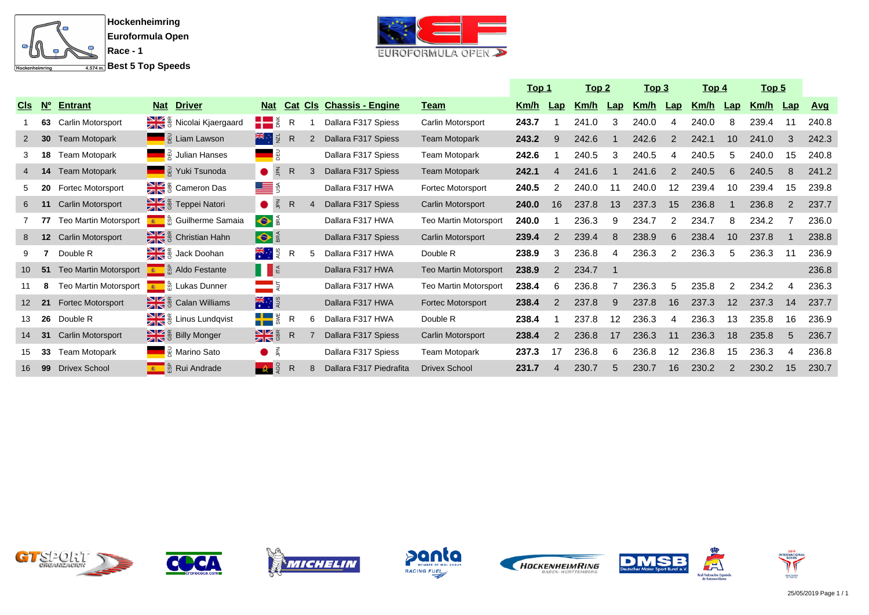



|                 |                             |                          |                                              |                         |              |                |                         |                              |             | <u> Top 1</u>  |       | <u>Top 2</u> | <u>Top 3</u> |                | <u> Top 4</u> |                   | <u>Top 5</u> |                |            |
|-----------------|-----------------------------|--------------------------|----------------------------------------------|-------------------------|--------------|----------------|-------------------------|------------------------------|-------------|----------------|-------|--------------|--------------|----------------|---------------|-------------------|--------------|----------------|------------|
| <u>CIs</u>      | $\overline{\mathsf{M}_{0}}$ | <b>Entrant</b>           | <b>Driver</b><br><u>Nat</u>                  | <b>Nat</b>              | <b>Cat</b>   | <u>Cls</u>     | <b>Chassis - Engine</b> | <u>Team</u>                  | <u>Km/h</u> | $\mathbf{Lap}$ | Km/h  | Lap          | <u>Km/h</u>  | $\mathsf{Lap}$ | <u>Km/h</u>   | $\mathbf{Lap}$    | <u>Km/h</u>  | $\mathbf{Lap}$ | <u>Avg</u> |
|                 |                             | 63 Carlin Motorsport     | Se & Nicolai Kjaergaard                      | $\blacksquare$          | R            |                | Dallara F317 Spiess     | Carlin Motorsport            | 243.7       |                | 241.0 | 3            | 240.0        |                | 240.0         | 8                 | 239.4        | 11             | 240.8      |
|                 | 30 <sup>°</sup>             | <b>Team Motopark</b>     | <b>E</b> <sub>R</sub> Liam Lawson            | <del>⊁</del> ਿੰ ਸੂ      | $\mathsf{R}$ | $\overline{2}$ | Dallara F317 Spiess     | <b>Team Motopark</b>         | 243.2       | 9              | 242.6 |              | 242.6        | 2              | 242.1         | 10                | 241.0        | 3              | 242.3      |
|                 | 18                          | Team Motopark            | $\frac{1}{6}$ Julian Hanses                  | 림                       |              |                | Dallara F317 Spiess     | <b>Team Motopark</b>         | 242.6       |                | 240.5 | 3            | 240.5        |                | 240.5         | 5                 | 240.0        | 15             | 240.8      |
|                 | 14                          | <b>Team Motopark</b>     | A Yuki Tsunoda                               | $\bullet$ $\leq$        | $\mathsf{R}$ |                | Dallara F317 Spiess     | <b>Team Motopark</b>         | 242.1       | 4              | 241.6 |              | 241.6        | $\mathcal{P}$  | 240.5         | 6                 | 240.5        | 8              | 241.2      |
|                 | 20                          | <b>Fortec Motorsport</b> | Cameron Das                                  | <u>LE</u> §             |              |                | Dallara F317 HWA        | Fortec Motorsport            | 240.5       | 2              | 240.0 |              | 240.0        | 12             | 239.4         | 10                | 239.4        | 15             | 239.8      |
| 6               |                             | <b>Carlin Motorsport</b> | Feppei Natori                                | $\bullet$ $\leq$        | $\mathsf{R}$ |                | Dallara F317 Spiess     | Carlin Motorsport            | 240.0       | 16             | 237.8 | 13           | 237.3        | 15             | 236.8         |                   | 236.8        |                | 237.7      |
|                 |                             | Teo Martin Motorsport    | E collherme Samaia                           | $\bullet$               |              |                | Dallara F317 HWA        | Teo Martin Motorsport        | 240.0       |                | 236.3 | 9            | 234.7        |                | 234.7         | 8                 | 234.2        |                | 236.0      |
| 8               | 12 <sup>2</sup>             | <b>Carlin Motorsport</b> | & & Christian Hahn                           | $\bullet$               |              |                | Dallara F317 Spiess     | Carlin Motorsport            | 239.4       | $\overline{2}$ | 239.4 | 8            | 238.9        | 6              | 238.4         | 10                | 237.8        |                | 238.8      |
|                 |                             | Double R                 | ack Doohan                                   | <del>ः</del><br>*ं३     | R            | 5              | Dallara F317 HWA        | Double R                     | 238.9       | 3              | 236.8 | 4            | 236.3        | 2              | 236.3         | 5                 | 236.3        | 11             | 236.9      |
| 10              | 51                          | Teo Martin Motorsport    | Le ∞ & Aldo Festante                         | IIE                     |              |                | Dallara F317 HWA        | <b>Teo Martin Motorsport</b> | 238.9       | 2              | 234.7 |              |              |                |               |                   |              |                | 236.8      |
|                 |                             | Teo Martin Motorsport    | ■ 岛 Lukas Dunner                             | $=$ 5                   |              |                | Dallara F317 HWA        | Teo Martin Motorsport        | 238.4       | 6              | 236.8 |              | 236.3        | 5.             | 235.8         | 2                 | 234.2        | 4              | 236.3      |
| 12 <sup>2</sup> | 21                          | Fortec Motorsport        | alleg & Calan Williams                       | ★ … 。                   |              |                | Dallara F317 HWA        | Fortec Motorsport            | 238.4       | $\overline{2}$ | 237.8 | 9            | 237.8        | 16             | 237.3         | $12 \overline{ }$ | 237.3        | 14             | 237.7      |
| 13              | 26                          | Double R                 | & Einus Lundqvist                            | $\blacksquare$          | R            | 6              | Dallara F317 HWA        | Double R                     | 238.4       |                | 237.8 | 12           | 236.3        |                | 236.3         | 13                | 235.8        | 16             | 236.9      |
| 14              | 31                          | Carlin Motorsport        | Billy Monger                                 | <b>MK</b> <sub>8</sub>  | $\mathsf{R}$ |                | Dallara F317 Spiess     | Carlin Motorsport            | 238.4       | $\overline{2}$ | 236.8 | 17           | 236.3        | 11             | 236.3         | 18                | 235.8        | 5              | 236.7      |
| 15              | 33                          | <b>Team Motopark</b>     | $\frac{1}{6}$ Marino Sato                    | $\bullet$ $\frac{2}{3}$ |              |                | Dallara F317 Spiess     | Team Motopark                | 237.3       | 17             | 236.8 | 6            | 236.8        | 12             | 236.8         | 15                | 236.3        | 4              | 236.8      |
| 16              |                             | 99 Drivex School         | <mark>ာ</mark> ္ကြံ့ Rui Andrade<br><b>B</b> | $\frac{1}{2}$           | R            |                | Dallara F317 Piedrafita | <b>Drivex School</b>         | 231.7       | 4              | 230.7 | 5            | 230.7        | 16             | 230.2         | 2                 | 230.2        | 15             | 230.7      |













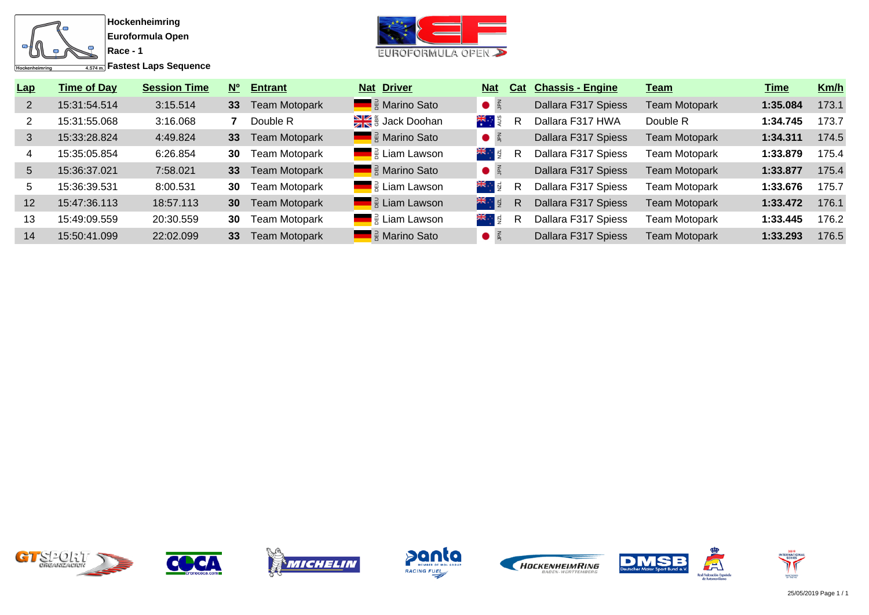

 $\overline{f_{4.574\,\text{m}}}$ Fastest Laps Sequence



| Lap | <b>Time of Day</b> | <b>Session Time</b> | <b>N°</b>       | <b>Entrant</b>       | <b>Nat</b> | <b>Driver</b>                                         | <b>Nat</b>       | Cat | <b>Chassis - Engine</b> | <u>Team</u>          | Time     | Km/h  |
|-----|--------------------|---------------------|-----------------|----------------------|------------|-------------------------------------------------------|------------------|-----|-------------------------|----------------------|----------|-------|
|     | 15:31:54.514       | 3:15.514            | 33              | <b>Team Motopark</b> |            | <b>External Exercise</b> Marino Sato                  |                  |     | Dallara F317 Spiess     | <b>Team Motopark</b> | 1:35.084 | 173.1 |
|     | 15:31:55.068       | 3:16.068            |                 | Double R             |            | $\frac{1}{2}$ $\frac{1}{2}$ $\frac{1}{2}$ Jack Doohan | 。<br>米<br>· S    | R   | Dallara F317 HWA        | Double R             | 1:34.745 | 173.7 |
| 3   | 15:33:28.824       | 4:49.824            | 33              | <b>Team Motopark</b> |            | <b>External America</b> Rato                          | $\bullet$ $\leq$ |     | Dallara F317 Spiess     | <b>Team Motopark</b> | 1:34.311 | 174.5 |
|     | 15:35:05.854       | 6:26.854            | 30              | <b>Team Motopark</b> |            | <b>Example 1</b> $\frac{1}{2}$ Liam Lawson            | ¥ਵ⊹ਾ ਸ਼ੁ         | R   | Dallara F317 Spiess     | <b>Team Motopark</b> | 1:33.879 | 175.4 |
| 5   | 15:36:37.021       | 7:58.021            | 33              | <b>Team Motopark</b> |            | <b>External Report Sato</b>                           | $\bullet$ é      |     | Dallara F317 Spiess     | <b>Team Motopark</b> | 1:33.877 | 175.4 |
| 5.  | 15:36:39.531       | 8:00.531            | 30              | <b>Team Motopark</b> |            | <b>Example 1</b> $\frac{1}{2}$ Liam Lawson            | ¥ਵ⊹ਾ ਬੋ          | R   | Dallara F317 Spiess     | <b>Team Motopark</b> | 1:33.676 | 175.7 |
| 12  | 15:47:36.113       | 18:57.113           | 30 <sup>°</sup> | <b>Team Motopark</b> |            | <b>Example 2</b> Eliam Lawson                         | 米特图              | R   | Dallara F317 Spiess     | <b>Team Motopark</b> | 1:33.472 | 176.1 |
| 13  | 15:49:09.559       | 20:30.559           | 30              | <b>Team Motopark</b> |            | <b>Example 1</b> $\frac{1}{2}$ Liam Lawson            | ⊁≼਼ਾ ਕੁ          | R   | Dallara F317 Spiess     | <b>Team Motopark</b> | 1:33.445 | 176.2 |
| 14  | 15:50:41.099       | 22:02.099           | 33              | <b>Team Motopark</b> |            | <b>E</b> a Marino Sato                                | $\bullet$ $\leq$ |     | Dallara F317 Spiess     | <b>Team Motopark</b> | 1:33.293 | 176.5 |













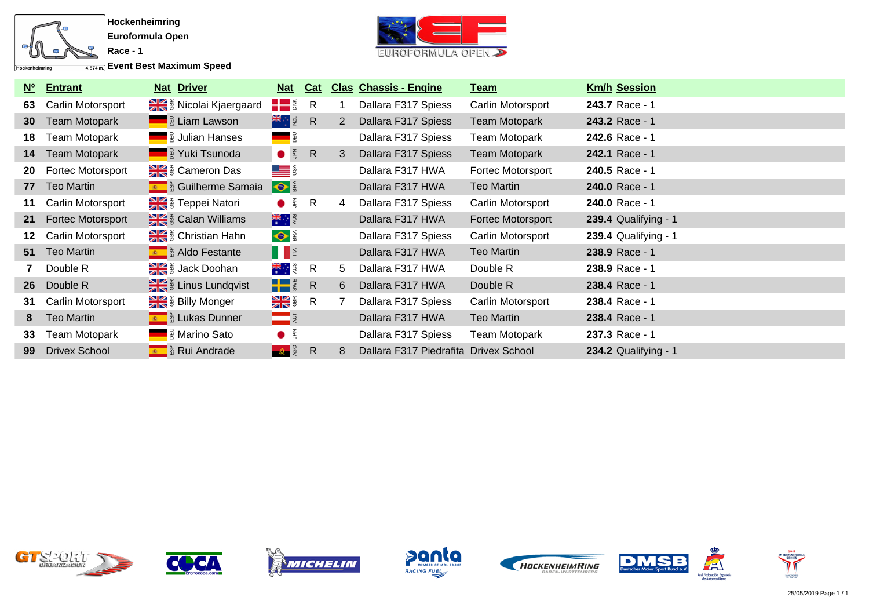

 $\overline{A_{4.574\,\text{m}}}$  Event Best Maximum Speed



| $\overline{\mathsf{N}_{0}}$ | <b>Entrant</b>       | <b>Nat Driver</b>                          | <u>Nat</u>                    | Cat          |   | <b>Clas Chassis - Engine</b>          | <u>Team</u>       | <b>Km/h Session</b>         |
|-----------------------------|----------------------|--------------------------------------------|-------------------------------|--------------|---|---------------------------------------|-------------------|-----------------------------|
| 63                          | Carlin Motorsport    | Size is Nicolai Kjaergaard                 | $\frac{1}{2}$ $\frac{1}{2}$ R |              |   | Dallara F317 Spiess                   | Carlin Motorsport | 243.7 Race - 1              |
| 30 <sup>°</sup>             | Team Motopark        | <b>Example 13</b> Liam Lawson              | 米·图 R                         |              | 2 | Dallara F317 Spiess                   | Team Motopark     | 243.2 Race - 1              |
| 18.                         | Team Motopark        | <b>E</b> a Julian Hanses                   |                               |              |   | Dallara F317 Spiess                   | Team Motopark     | 242.6 Race - 1              |
| 14                          | Team Motopark        | ██  Nuki Tsunoda                           | $\bullet$ $\frac{2}{5}$       | R            | 3 | Dallara F317 Spiess                   | Team Motopark     | 242.1 Race - 1              |
| 20                          | Fortec Motorsport    | Se & Cameron Das                           | <u>LE</u> S                   |              |   | Dallara F317 HWA                      | Fortec Motorsport | 240.5 Race - 1              |
| 77                          | Teo Martin           | E <b>A</b> & Guilherme Samaia              | S                             |              |   | Dallara F317 HWA                      | Teo Martin        | 240.0 Race - 1              |
| 11                          | Carlin Motorsport    | E & Teppei Natori                          | $\bullet$ $\frac{2}{5}$       | R            | 4 | Dallara F317 Spiess                   | Carlin Motorsport | 240.0 Race - 1              |
| 21                          | Fortec Motorsport    | Este & Calan Williams                      | 大门                            |              |   | Dallara F317 HWA                      | Fortec Motorsport | <b>239.4 Qualifying - 1</b> |
| 12                          | Carlin Motorsport    | $\frac{1}{2}$ $\frac{2}{3}$ Christian Hahn | $\bullet$                     |              |   | Dallara F317 Spiess                   | Carlin Motorsport | <b>239.4 Qualifying - 1</b> |
|                             | 51 Teo Martin        | E & Aldo Festante                          | II                            |              |   | Dallara F317 HWA                      | Teo Martin        | 238.9 Race - 1              |
|                             | Double R             | Se & Jack Doohan                           | ≫स<br>⊹ाइ                     | $\mathsf{R}$ | 5 | Dallara F317 HWA                      | Double R          | 238.9 Race - 1              |
|                             | 26 Double R          | a & Linus Lundqvist                        | $\frac{1}{2}$ $\frac{1}{2}$ R |              | 6 | Dallara F317 HWA                      | Double R          | 238.4 Race - 1              |
| 31                          | Carlin Motorsport    | Se Billy Monger                            | <b>NK &amp;</b>               | $\mathsf{R}$ |   | Dallara F317 Spiess                   | Carlin Motorsport | 238.4 Race - 1              |
| 8                           | <b>Teo Martin</b>    | Lukas Dunner                               | $\blacksquare$                |              |   | Dallara F317 HWA                      | <b>Teo Martin</b> | 238.4 Race - 1              |
| 33                          | Team Motopark        | <b>Example 3</b> Marino Sato               | $\bullet$ $\leq$              |              |   | Dallara F317 Spiess                   | Team Motopark     | 237.3 Race - 1              |
| 99                          | <b>Drivex School</b> | E േ & Rui Andrade                          | $\frac{1}{2}$                 | $\mathsf{R}$ | 8 | Dallara F317 Piedrafita Drivex School |                   | <b>234.2 Qualifying - 1</b> |













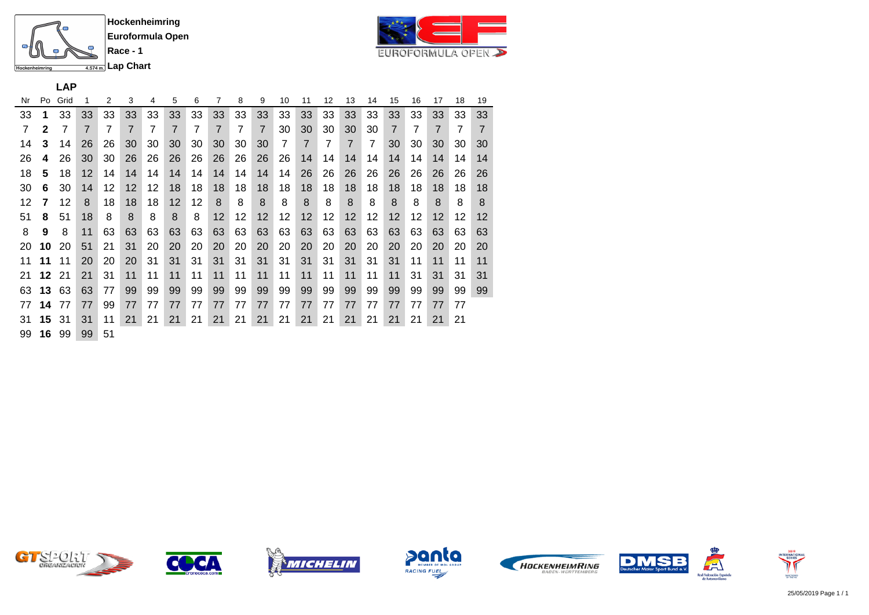



# **LAP**

| Nr | Po           | Grid |    | 2  | 3              | 4  | 5              | 6  | 7              | 8              | 9              | 10             | 11             | 12 | 13             | 14 | 15             | 16 | 17             | 18 | 19 |  |
|----|--------------|------|----|----|----------------|----|----------------|----|----------------|----------------|----------------|----------------|----------------|----|----------------|----|----------------|----|----------------|----|----|--|
| 33 | 1            | 33   | 33 | 33 | 33             | 33 | 33             | 33 | 33             | 33             | 33             | 33             | 33             | 33 | 33             | 33 | 33             | 33 | 33             | 33 | 33 |  |
| 7  | $\mathbf{2}$ | 7    | 7  | 7  | $\overline{7}$ | 7  | $\overline{7}$ | 7  | $\overline{7}$ | $\overline{7}$ | $\overline{7}$ | 30             | 30             | 30 | 30             | 30 | $\overline{7}$ | 7  | $\overline{7}$ | 7  | 7  |  |
| 14 | 3            | 14   | 26 | 26 | 30             | 30 | 30             | 30 | 30             | 30             | 30             | $\overline{7}$ | $\overline{7}$ | 7  | $\overline{7}$ | 7  | 30             | 30 | 30             | 30 | 30 |  |
| 26 | 4            | 26   | 30 | 30 | 26             | 26 | 26             | 26 | 26             | 26             | 26             | 26             | 14             | 14 | 14             | 14 | 14             | 14 | 14             | 14 | 14 |  |
| 18 | 5            | 18   | 12 | 14 | 14             | 14 | 14             | 14 | 14             | 14             | 14             | 14             | 26             | 26 | 26             | 26 | 26             | 26 | 26             | 26 | 26 |  |
| 30 | 6            | 30   | 14 | 12 | 12             | 12 | 18             | 18 | 18             | 18             | 18             | 18             | 18             | 18 | 18             | 18 | 18             | 18 | 18             | 18 | 18 |  |
| 12 | 7            | 12   | 8  | 18 | 18             | 18 | 12             | 12 | 8              | 8              | 8              | 8              | 8              | 8  | 8              | 8  | 8              | 8  | 8              | 8  | 8  |  |
| 51 | 8            | 51   | 18 | 8  | 8              | 8  | 8              | 8  | 12             | 12             | 12             | 12             | 12             | 12 | 12             | 12 | 12             | 12 | 12             | 12 | 12 |  |
| 8  | 9            | 8    | 11 | 63 | 63             | 63 | 63             | 63 | 63             | 63             | 63             | 63             | 63             | 63 | 63             | 63 | 63             | 63 | 63             | 63 | 63 |  |
| 20 | 10           | 20   | 51 | 21 | 31             | 20 | 20             | 20 | 20             | 20             | 20             | 20             | 20             | 20 | 20             | 20 | 20             | 20 | 20             | 20 | 20 |  |
| 11 | 11           | 11   | 20 | 20 | 20             | 31 | 31             | 31 | 31             | 31             | 31             | 31             | 31             | 31 | 31             | 31 | 31             | 11 | 11             | 11 | 11 |  |
| 21 | 12           | 21   | 21 | 31 | 11             | 11 | 11             | 11 | 11             | 11             | 11             | 11             | 11             | 11 | 11             | 11 | 11             | 31 | 31             | 31 | 31 |  |
| 63 | 13           | 63   | 63 | 77 | 99             | 99 | 99             | 99 | 99             | 99             | 99             | 99             | 99             | 99 | 99             | 99 | 99             | 99 | 99             | 99 | 99 |  |
| 77 | 14           | 77   | 77 | 99 | 77             | 77 | 77             | 77 | 77             | 77             | 77             | 77             | 77             | 77 | 77             | 77 | 77             | 77 | 77             | 77 |    |  |
| 31 | 15           | 31   | 31 | 11 | 21             | 21 | 21             | 21 | 21             | 21             | 21             | 21             | 21             | 21 | 21             | 21 | 21             | 21 | 21             | 21 |    |  |
| 99 | 16           | 99   | 99 | 51 |                |    |                |    |                |                |                |                |                |    |                |    |                |    |                |    |    |  |













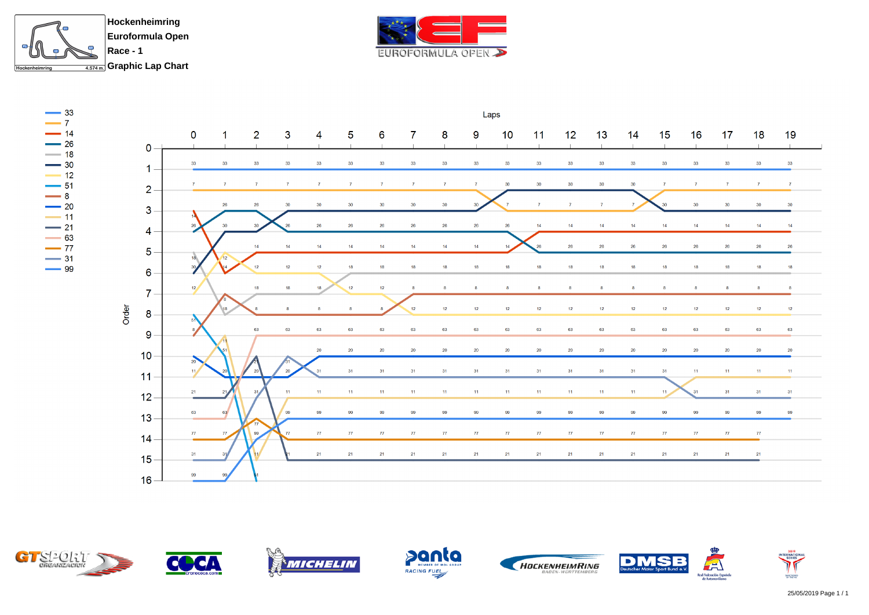





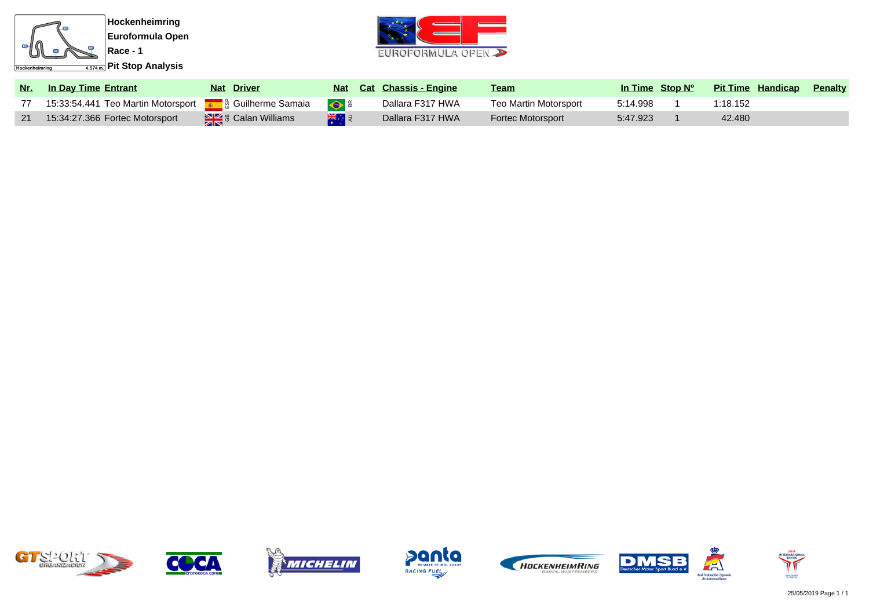



| <u>Nr.</u> | <b>In Day Time Entrant</b>         | <b>Nat Driver</b>                                        | Nat                               | <b>Cat Chassis - Engine</b> | <u>Team</u>              | In Time Stop N <sup>o</sup> | <b>Pit Time Handicap</b> | <b>Penalty</b> |
|------------|------------------------------------|----------------------------------------------------------|-----------------------------------|-----------------------------|--------------------------|-----------------------------|--------------------------|----------------|
|            | 15:33:54.441 Teo Martin Motorsport | <b>ह</b> ले Guilherme Samaia                             | $\bullet$ $\frac{\alpha}{\alpha}$ | Dallara F317 HWA            | Teo Martin Motorsport    | 5:14.998                    | 1:18.152                 |                |
|            | 15:34:27.366 Fortec Motorsport     | $\frac{1}{\sqrt{2}}$ $\frac{1}{\sqrt{2}}$ Calan Williams | 米国                                | Dallara F317 HWA            | <b>Fortec Motorsport</b> | 5:47.923                    | 42,480                   |                |